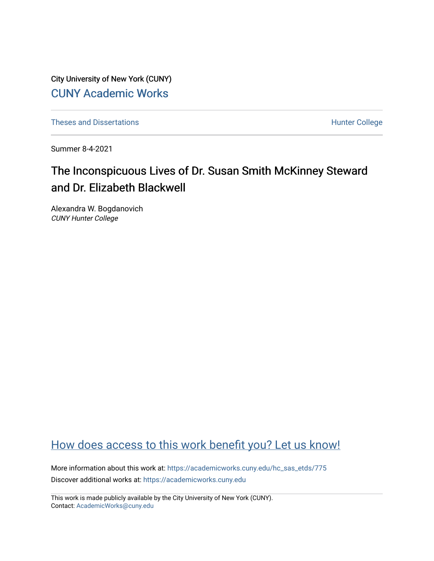City University of New York (CUNY) [CUNY Academic Works](https://academicworks.cuny.edu/) 

[Theses and Dissertations](https://academicworks.cuny.edu/hc_sas_etds) **Hunter College** 

Summer 8-4-2021

# The Inconspicuous Lives of Dr. Susan Smith McKinney Steward and Dr. Elizabeth Blackwell

Alexandra W. Bogdanovich CUNY Hunter College

## [How does access to this work benefit you? Let us know!](http://ols.cuny.edu/academicworks/?ref=https://academicworks.cuny.edu/hc_sas_etds/775)

More information about this work at: [https://academicworks.cuny.edu/hc\\_sas\\_etds/775](https://academicworks.cuny.edu/hc_sas_etds/775)  Discover additional works at: [https://academicworks.cuny.edu](https://academicworks.cuny.edu/?)

This work is made publicly available by the City University of New York (CUNY). Contact: [AcademicWorks@cuny.edu](mailto:AcademicWorks@cuny.edu)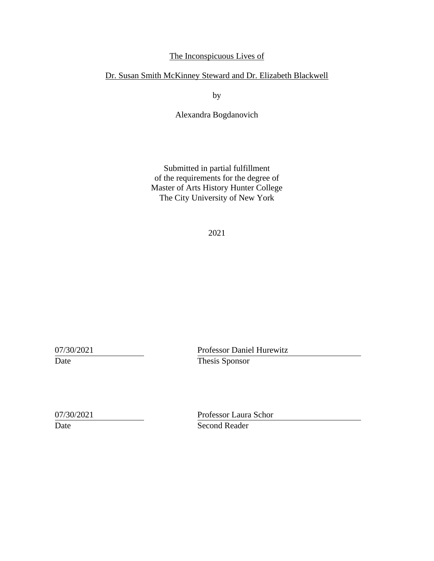## The Inconspicuous Lives of

## Dr. Susan Smith McKinney Steward and Dr. Elizabeth Blackwell

by

Alexandra Bogdanovich

Submitted in partial fulfillment of the requirements for the degree of Master of Arts History Hunter College The City University of New York

2021

07/30/2021 Professor Daniel Hurewitz Date Thesis Sponsor

07/30/2021 Professor Laura Schor Date Second Reader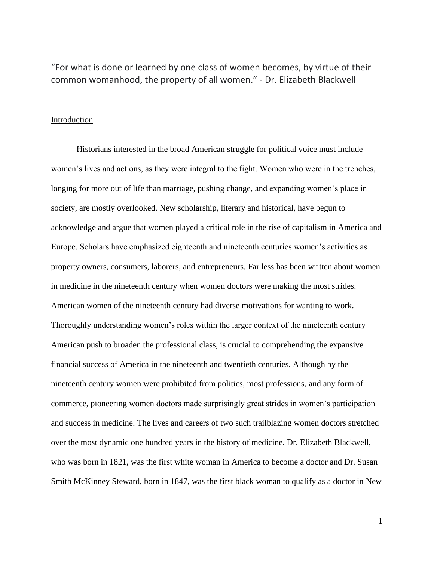"For what is done or learned by one class of women becomes, by virtue of their common womanhood, the property of all women." - Dr. Elizabeth Blackwell

#### **Introduction**

Historians interested in the broad American struggle for political voice must include women's lives and actions, as they were integral to the fight. Women who were in the trenches, longing for more out of life than marriage, pushing change, and expanding women's place in society, are mostly overlooked. New scholarship, literary and historical, have begun to acknowledge and argue that women played a critical role in the rise of capitalism in America and Europe. Scholars have emphasized eighteenth and nineteenth centuries women's activities as property owners, consumers, laborers, and entrepreneurs. Far less has been written about women in medicine in the nineteenth century when women doctors were making the most strides. American women of the nineteenth century had diverse motivations for wanting to work. Thoroughly understanding women's roles within the larger context of the nineteenth century American push to broaden the professional class, is crucial to comprehending the expansive financial success of America in the nineteenth and twentieth centuries. Although by the nineteenth century women were prohibited from politics, most professions, and any form of commerce, pioneering women doctors made surprisingly great strides in women's participation and success in medicine. The lives and careers of two such trailblazing women doctors stretched over the most dynamic one hundred years in the history of medicine. Dr. Elizabeth Blackwell, who was born in 1821, was the first white woman in America to become a doctor and Dr. Susan Smith McKinney Steward, born in 1847, was the first black woman to qualify as a doctor in New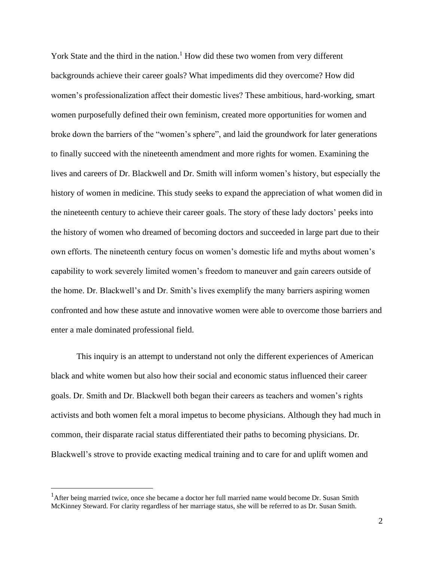York State and the third in the nation.<sup>1</sup> How did these two women from very different backgrounds achieve their career goals? What impediments did they overcome? How did women's professionalization affect their domestic lives? These ambitious, hard-working, smart women purposefully defined their own feminism, created more opportunities for women and broke down the barriers of the "women's sphere", and laid the groundwork for later generations to finally succeed with the nineteenth amendment and more rights for women. Examining the lives and careers of Dr. Blackwell and Dr. Smith will inform women's history, but especially the history of women in medicine. This study seeks to expand the appreciation of what women did in the nineteenth century to achieve their career goals. The story of these lady doctors' peeks into the history of women who dreamed of becoming doctors and succeeded in large part due to their own efforts. The nineteenth century focus on women's domestic life and myths about women's capability to work severely limited women's freedom to maneuver and gain careers outside of the home. Dr. Blackwell's and Dr. Smith's lives exemplify the many barriers aspiring women confronted and how these astute and innovative women were able to overcome those barriers and enter a male dominated professional field.

This inquiry is an attempt to understand not only the different experiences of American black and white women but also how their social and economic status influenced their career goals. Dr. Smith and Dr. Blackwell both began their careers as teachers and women's rights activists and both women felt a moral impetus to become physicians. Although they had much in common, their disparate racial status differentiated their paths to becoming physicians. Dr. Blackwell's strove to provide exacting medical training and to care for and uplift women and

<sup>&</sup>lt;sup>1</sup>After being married twice, once she became a doctor her full married name would become Dr. Susan Smith McKinney Steward. For clarity regardless of her marriage status, she will be referred to as Dr. Susan Smith.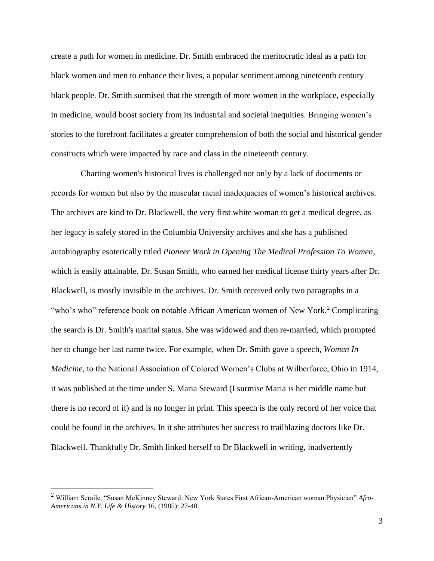create a path for women in medicine. Dr. Smith embraced the meritocratic ideal as a path for black women and men to enhance their lives, a popular sentiment among nineteenth century black people. Dr. Smith surmised that the strength of more women in the workplace, especially in medicine, would boost society from its industrial and societal inequities. Bringing women's stories to the forefront facilitates a greater comprehension of both the social and historical gender constructs which were impacted by race and class in the nineteenth century.

 Charting women's historical lives is challenged not only by a lack of documents or records for women but also by the muscular racial inadequacies of women's historical archives. The archives are kind to Dr. Blackwell, the very first white woman to get a medical degree, as her legacy is safely stored in the Columbia University archives and she has a published autobiography esoterically titled *Pioneer Work in Opening The Medical Profession To Women,* which is easily attainable. Dr. Susan Smith, who earned her medical license thirty years after Dr. Blackwell, is mostly invisible in the archives. Dr. Smith received only two paragraphs in a "who's who" reference book on notable African American women of New York.<sup>2</sup> Complicating the search is Dr. Smith's marital status. She was widowed and then re-married, which prompted her to change her last name twice. For example, when Dr. Smith gave a speech, *Women In Medicine,* to the National Association of Colored Women's Clubs at Wilberforce, Ohio in 1914, it was published at the time under S. Maria Steward (I surmise Maria is her middle name but there is no record of it) and is no longer in print. This speech is the only record of her voice that could be found in the archives. In it she attributes her success to trailblazing doctors like Dr. Blackwell. Thankfully Dr. Smith linked herself to Dr Blackwell in writing, inadvertently

<sup>2</sup> William Seraile, "Susan McKinney Steward: New York States First African-American woman Physician" *Afro-Americans in N.Y. Life & History* 16, (1985): 27-40.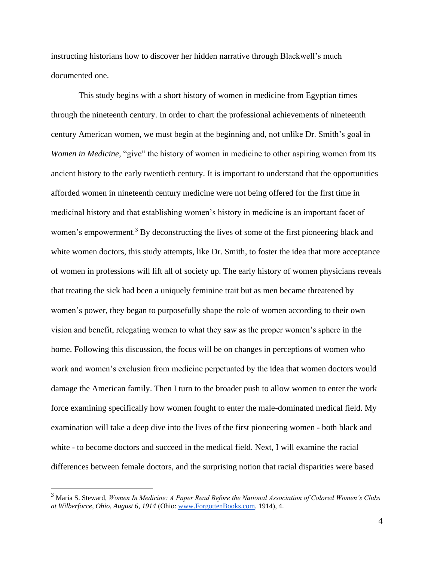instructing historians how to discover her hidden narrative through Blackwell's much documented one.

This study begins with a short history of women in medicine from Egyptian times through the nineteenth century. In order to chart the professional achievements of nineteenth century American women, we must begin at the beginning and, not unlike Dr. Smith's goal in *Women in Medicine,* "give" the history of women in medicine to other aspiring women from its ancient history to the early twentieth century. It is important to understand that the opportunities afforded women in nineteenth century medicine were not being offered for the first time in medicinal history and that establishing women's history in medicine is an important facet of women's empowerment.<sup>3</sup> By deconstructing the lives of some of the first pioneering black and white women doctors, this study attempts, like Dr. Smith, to foster the idea that more acceptance of women in professions will lift all of society up. The early history of women physicians reveals that treating the sick had been a uniquely feminine trait but as men became threatened by women's power, they began to purposefully shape the role of women according to their own vision and benefit, relegating women to what they saw as the proper women's sphere in the home. Following this discussion, the focus will be on changes in perceptions of women who work and women's exclusion from medicine perpetuated by the idea that women doctors would damage the American family. Then I turn to the broader push to allow women to enter the work force examining specifically how women fought to enter the male-dominated medical field. My examination will take a deep dive into the lives of the first pioneering women - both black and white - to become doctors and succeed in the medical field. Next, I will examine the racial differences between female doctors, and the surprising notion that racial disparities were based

<sup>3</sup> Maria S. Steward, *Women In Medicine: A Paper Read Before the National Association of Colored Women's Clubs at Wilberforce, Ohio, August 6, 1914* (Ohio[: www.ForgottenBooks.com,](http://www.forgottenbooks.com/) 1914), 4.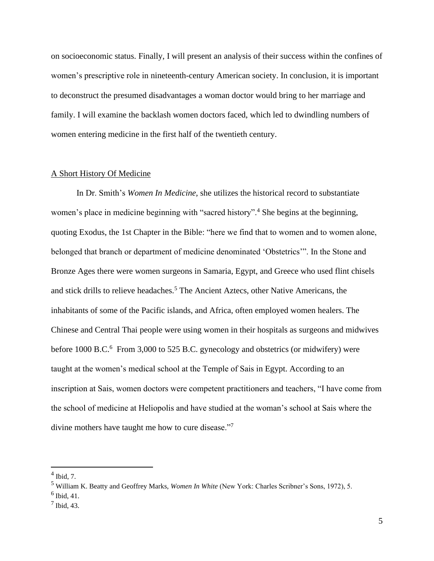on socioeconomic status. Finally, I will present an analysis of their success within the confines of women's prescriptive role in nineteenth-century American society. In conclusion, it is important to deconstruct the presumed disadvantages a woman doctor would bring to her marriage and family. I will examine the backlash women doctors faced, which led to dwindling numbers of women entering medicine in the first half of the twentieth century.

#### A Short History Of Medicine

In Dr. Smith's *Women In Medicine,* she utilizes the historical record to substantiate women's place in medicine beginning with "sacred history".<sup>4</sup> She begins at the beginning, quoting Exodus, the 1st Chapter in the Bible: "here we find that to women and to women alone, belonged that branch or department of medicine denominated 'Obstetrics'". In the Stone and Bronze Ages there were women surgeons in Samaria, Egypt, and Greece who used flint chisels and stick drills to relieve headaches.<sup>5</sup> The Ancient Aztecs, other Native Americans, the inhabitants of some of the Pacific islands, and Africa, often employed women healers. The Chinese and Central Thai people were using women in their hospitals as surgeons and midwives before 1000 B.C.<sup>6</sup> From 3,000 to 525 B.C. gynecology and obstetrics (or midwifery) were taught at the women's medical school at the Temple of Sais in Egypt. According to an inscription at Sais, women doctors were competent practitioners and teachers, "I have come from the school of medicine at Heliopolis and have studied at the woman's school at Sais where the divine mothers have taught me how to cure disease."7

 $<sup>4</sup>$  Ibid, 7.</sup>

<sup>5</sup> William K. Beatty and Geoffrey Marks, *Women In White* (New York: Charles Scribner's Sons, 1972), 5.

 $<sup>6</sup>$  Ibid, 41.</sup>

 $<sup>7</sup>$  Ibid, 43.</sup>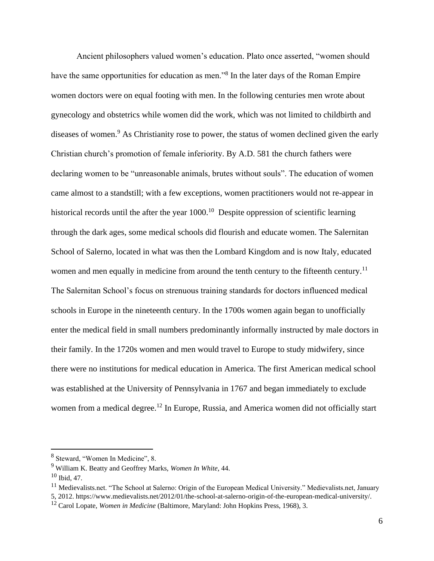Ancient philosophers valued women's education. Plato once asserted, "women should have the same opportunities for education as men."<sup>8</sup> In the later days of the Roman Empire women doctors were on equal footing with men. In the following centuries men wrote about gynecology and obstetrics while women did the work, which was not limited to childbirth and diseases of women.<sup>9</sup> As Christianity rose to power, the status of women declined given the early Christian church's promotion of female inferiority. By A.D. 581 the church fathers were declaring women to be "unreasonable animals, brutes without souls". The education of women came almost to a standstill; with a few exceptions, women practitioners would not re-appear in historical records until the after the year  $1000$ .<sup>10</sup> Despite oppression of scientific learning through the dark ages, some medical schools did flourish and educate women. The Salernitan School of Salerno, located in what was then the Lombard Kingdom and is now Italy, educated women and men equally in medicine from around the tenth century to the fifteenth century.<sup>11</sup> The Salernitan School's focus on strenuous training standards for doctors influenced medical schools in Europe in the nineteenth century. In the 1700s women again began to unofficially enter the medical field in small numbers predominantly informally instructed by male doctors in their family. In the 1720s women and men would travel to Europe to study midwifery, since there were no institutions for medical education in America. The first American medical school was established at the University of Pennsylvania in 1767 and began immediately to exclude women from a medical degree.<sup>12</sup> In Europe, Russia, and America women did not officially start

<sup>&</sup>lt;sup>8</sup> Steward, "Women In Medicine", 8.

<sup>9</sup> William K. Beatty and Geoffrey Marks, *Women In White,* 44.

 $10$  Ibid, 47.

<sup>&</sup>lt;sup>11</sup> Medievalists.net. "The School at Salerno: Origin of the European Medical University." Medievalists.net, January 5, 2012. https://www.medievalists.net/2012/01/the-school-at-salerno-origin-of-the-european-medical-university/.

<sup>12</sup> Carol Lopate, *Women in Medicine* (Baltimore, Maryland: John Hopkins Press, 1968), 3.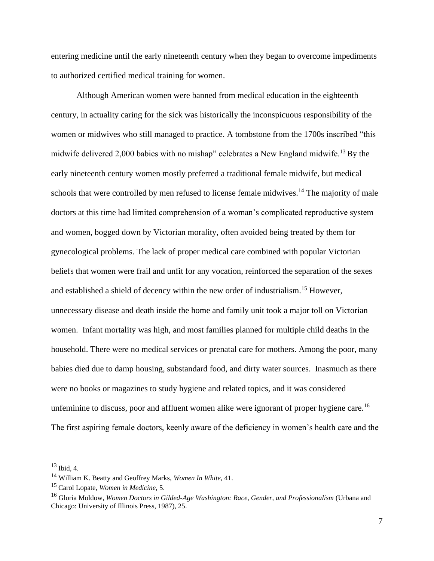entering medicine until the early nineteenth century when they began to overcome impediments to authorized certified medical training for women.

Although American women were banned from medical education in the eighteenth century, in actuality caring for the sick was historically the inconspicuous responsibility of the women or midwives who still managed to practice. A tombstone from the 1700s inscribed "this midwife delivered 2,000 babies with no mishap" celebrates a New England midwife.<sup>13</sup> By the early nineteenth century women mostly preferred a traditional female midwife, but medical schools that were controlled by men refused to license female midwives.<sup>14</sup> The majority of male doctors at this time had limited comprehension of a woman's complicated reproductive system and women, bogged down by Victorian morality, often avoided being treated by them for gynecological problems. The lack of proper medical care combined with popular Victorian beliefs that women were frail and unfit for any vocation, reinforced the separation of the sexes and established a shield of decency within the new order of industrialism.<sup>15</sup> However, unnecessary disease and death inside the home and family unit took a major toll on Victorian women. Infant mortality was high, and most families planned for multiple child deaths in the household. There were no medical services or prenatal care for mothers. Among the poor, many babies died due to damp housing, substandard food, and dirty water sources. Inasmuch as there were no books or magazines to study hygiene and related topics, and it was considered unfeminine to discuss, poor and affluent women alike were ignorant of proper hygiene care.<sup>16</sup> The first aspiring female doctors, keenly aware of the deficiency in women's health care and the

 $13$  Ibid, 4.

<sup>14</sup> William K. Beatty and Geoffrey Marks, *Women In White,* 41.

<sup>15</sup> Carol Lopate, *Women in Medicine,* 5.

<sup>16</sup> Gloria Moldow, *Women Doctors in Gilded-Age Washington: Race, Gender, and Professionalism* (Urbana and Chicago: University of Illinois Press, 1987), 25.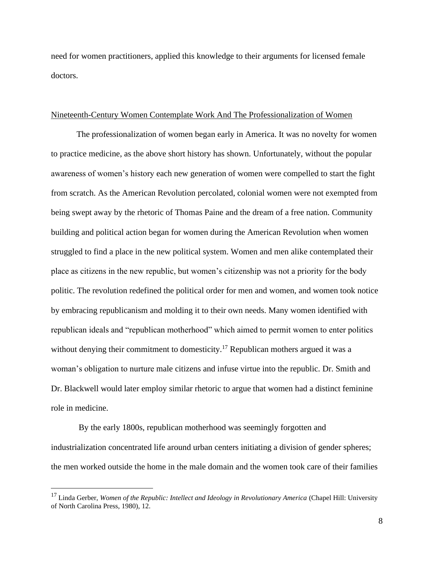need for women practitioners, applied this knowledge to their arguments for licensed female doctors.

#### Nineteenth-Century Women Contemplate Work And The Professionalization of Women

The professionalization of women began early in America. It was no novelty for women to practice medicine, as the above short history has shown. Unfortunately, without the popular awareness of women's history each new generation of women were compelled to start the fight from scratch. As the American Revolution percolated, colonial women were not exempted from being swept away by the rhetoric of Thomas Paine and the dream of a free nation. Community building and political action began for women during the American Revolution when women struggled to find a place in the new political system. Women and men alike contemplated their place as citizens in the new republic, but women's citizenship was not a priority for the body politic. The revolution redefined the political order for men and women, and women took notice by embracing republicanism and molding it to their own needs. Many women identified with republican ideals and "republican motherhood" which aimed to permit women to enter politics without denying their commitment to domesticity.<sup>17</sup> Republican mothers argued it was a woman's obligation to nurture male citizens and infuse virtue into the republic. Dr. Smith and Dr. Blackwell would later employ similar rhetoric to argue that women had a distinct feminine role in medicine.

By the early 1800s, republican motherhood was seemingly forgotten and industrialization concentrated life around urban centers initiating a division of gender spheres; the men worked outside the home in the male domain and the women took care of their families

<sup>17</sup> Linda Gerber, *Women of the Republic: Intellect and Ideology in Revolutionary America* (Chapel Hill: University of North Carolina Press, 1980), 12.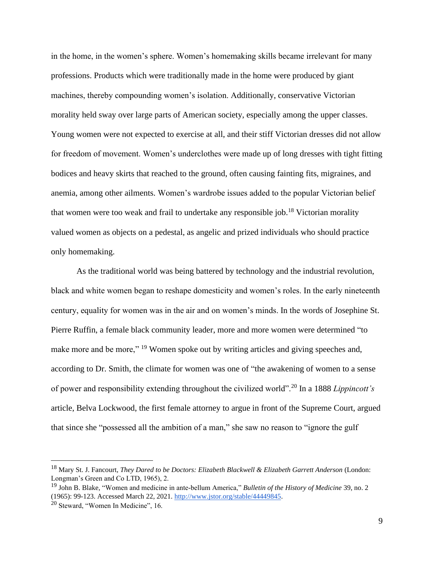in the home, in the women's sphere. Women's homemaking skills became irrelevant for many professions. Products which were traditionally made in the home were produced by giant machines, thereby compounding women's isolation. Additionally, conservative Victorian morality held sway over large parts of American society, especially among the upper classes. Young women were not expected to exercise at all, and their stiff Victorian dresses did not allow for freedom of movement. Women's underclothes were made up of long dresses with tight fitting bodices and heavy skirts that reached to the ground, often causing fainting fits, migraines, and anemia, among other ailments. Women's wardrobe issues added to the popular Victorian belief that women were too weak and frail to undertake any responsible job.<sup>18</sup> Victorian morality valued women as objects on a pedestal, as angelic and prized individuals who should practice only homemaking.

As the traditional world was being battered by technology and the industrial revolution, black and white women began to reshape domesticity and women's roles. In the early nineteenth century, equality for women was in the air and on women's minds. In the words of Josephine St. Pierre Ruffin, a female black community leader, more and more women were determined "to make more and be more," <sup>19</sup> Women spoke out by writing articles and giving speeches and, according to Dr. Smith, the climate for women was one of "the awakening of women to a sense of power and responsibility extending throughout the civilized world".<sup>20</sup> In a 1888 *Lippincott's*  article, Belva Lockwood, the first female attorney to argue in front of the Supreme Court, argued that since she "possessed all the ambition of a man," she saw no reason to "ignore the gulf

<sup>18</sup> Mary St. J. Fancourt, *They Dared to be Doctors: Elizabeth Blackwell & Elizabeth Garrett Anderson* (London: Longman's Green and Co LTD, 1965), 2.

<sup>19</sup> John B. Blake, "Women and medicine in ante-bellum America," *Bulletin of the History of Medicine* 39, no. 2 (1965): 99-123. Accessed March 22, 2021. [http://www.jstor.org/stable/44449845.](http://www.jstor.org/stable/44449845)

 $20$  Steward, "Women In Medicine", 16.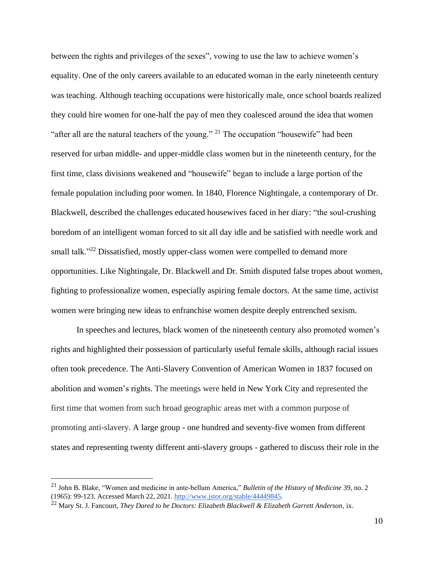between the rights and privileges of the sexes", vowing to use the law to achieve women's equality. One of the only careers available to an educated woman in the early nineteenth century was teaching. Although teaching occupations were historically male, once school boards realized they could hire women for one-half the pay of men they coalesced around the idea that women "after all are the natural teachers of the young." <sup>21</sup> The occupation "housewife" had been reserved for urban middle- and upper-middle class women but in the nineteenth century, for the first time, class divisions weakened and "housewife" began to include a large portion of the female population including poor women. In 1840, Florence Nightingale, a contemporary of Dr. Blackwell, described the challenges educated housewives faced in her diary: "the soul-crushing boredom of an intelligent woman forced to sit all day idle and be satisfied with needle work and small talk."<sup>22</sup> Dissatisfied, mostly upper-class women were compelled to demand more opportunities. Like Nightingale, Dr. Blackwell and Dr. Smith disputed false tropes about women, fighting to professionalize women, especially aspiring female doctors. At the same time, activist women were bringing new ideas to enfranchise women despite deeply entrenched sexism.

In speeches and lectures, black women of the nineteenth century also promoted women's rights and highlighted their possession of particularly useful female skills, although racial issues often took precedence. The Anti-Slavery Convention of American Women in 1837 focused on abolition and women's rights. The meetings were held in New York City and represented the first time that women from such broad geographic areas met with a common purpose of promoting anti-slavery. A large group - one hundred and seventy-five women from different states and representing twenty different anti-slavery groups - gathered to discuss their role in the

<sup>21</sup> John B. Blake, "Women and medicine in ante-bellum America," *Bulletin of the History of Medicine* 39, no. 2 (1965): 99-123. Accessed March 22, 2021. [http://www.jstor.org/stable/44449845.](http://www.jstor.org/stable/44449845)

<sup>&</sup>lt;sup>22</sup> Mary St. J. Fancourt, *They Dared to be Doctors: Elizabeth Blackwell & Elizabeth Garrett Anderson*, ix.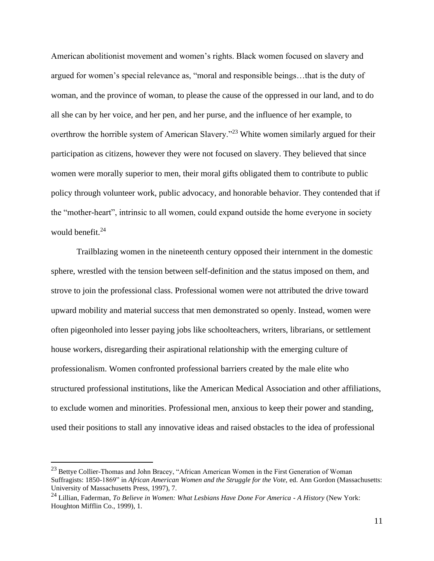American abolitionist movement and women's rights. Black women focused on slavery and argued for women's special relevance as, "moral and responsible beings…that is the duty of woman, and the province of woman, to please the cause of the oppressed in our land, and to do all she can by her voice, and her pen, and her purse, and the influence of her example, to overthrow the horrible system of American Slavery."<sup>23</sup> White women similarly argued for their participation as citizens, however they were not focused on slavery. They believed that since women were morally superior to men, their moral gifts obligated them to contribute to public policy through volunteer work, public advocacy, and honorable behavior. They contended that if the "mother-heart", intrinsic to all women, could expand outside the home everyone in society would benefit. $24$ 

Trailblazing women in the nineteenth century opposed their internment in the domestic sphere, wrestled with the tension between self-definition and the status imposed on them, and strove to join the professional class. Professional women were not attributed the drive toward upward mobility and material success that men demonstrated so openly. Instead, women were often pigeonholed into lesser paying jobs like schoolteachers, writers, librarians, or settlement house workers, disregarding their aspirational relationship with the emerging culture of professionalism. Women confronted professional barriers created by the male elite who structured professional institutions, like the American Medical Association and other affiliations, to exclude women and minorities. Professional men, anxious to keep their power and standing, used their positions to stall any innovative ideas and raised obstacles to the idea of professional

<sup>&</sup>lt;sup>23</sup> Bettve Collier-Thomas and John Bracey, "African American Women in the First Generation of Woman Suffragists: 1850-1869" in *African American Women and the Struggle for the Vote*, ed. Ann Gordon (Massachusetts: University of Massachusetts Press, 1997), 7.

<sup>24</sup> Lillian, Faderman, *To Believe in Women: What Lesbians Have Done For America - A History* (New York: Houghton Mifflin Co., 1999), 1.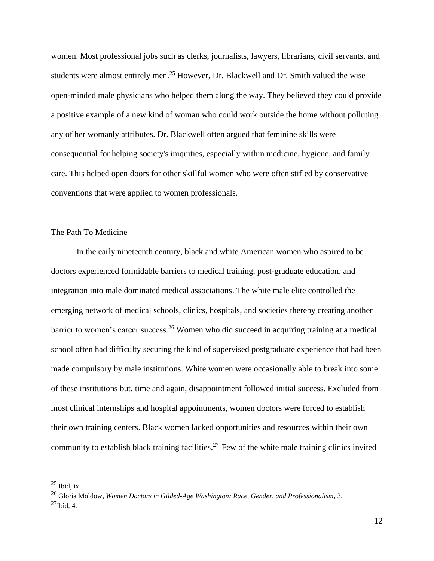women. Most professional jobs such as clerks, journalists, lawyers, librarians, civil servants, and students were almost entirely men.<sup>25</sup> However, Dr. Blackwell and Dr. Smith valued the wise open-minded male physicians who helped them along the way. They believed they could provide a positive example of a new kind of woman who could work outside the home without polluting any of her womanly attributes. Dr. Blackwell often argued that feminine skills were consequential for helping society's iniquities, especially within medicine, hygiene, and family care. This helped open doors for other skillful women who were often stifled by conservative conventions that were applied to women professionals.

#### The Path To Medicine

In the early nineteenth century, black and white American women who aspired to be doctors experienced formidable barriers to medical training, post-graduate education, and integration into male dominated medical associations. The white male elite controlled the emerging network of medical schools, clinics, hospitals, and societies thereby creating another barrier to women's career success.<sup>26</sup> Women who did succeed in acquiring training at a medical school often had difficulty securing the kind of supervised postgraduate experience that had been made compulsory by male institutions. White women were occasionally able to break into some of these institutions but, time and again, disappointment followed initial success. Excluded from most clinical internships and hospital appointments, women doctors were forced to establish their own training centers. Black women lacked opportunities and resources within their own community to establish black training facilities.<sup>27</sup> Few of the white male training clinics invited

 $25$  Ibid, ix.

<sup>26</sup> Gloria Moldow, *Women Doctors in Gilded-Age Washington: Race, Gender, and Professionalism*, 3.

 $^{27}$ Ibid, 4.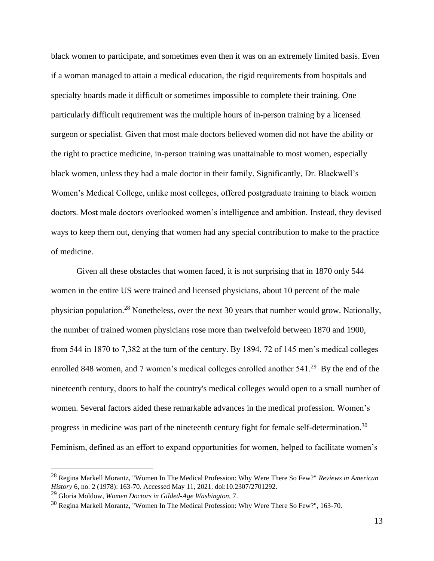black women to participate, and sometimes even then it was on an extremely limited basis. Even if a woman managed to attain a medical education, the rigid requirements from hospitals and specialty boards made it difficult or sometimes impossible to complete their training. One particularly difficult requirement was the multiple hours of in-person training by a licensed surgeon or specialist. Given that most male doctors believed women did not have the ability or the right to practice medicine, in-person training was unattainable to most women, especially black women, unless they had a male doctor in their family. Significantly, Dr. Blackwell's Women's Medical College, unlike most colleges, offered postgraduate training to black women doctors. Most male doctors overlooked women's intelligence and ambition. Instead, they devised ways to keep them out, denying that women had any special contribution to make to the practice of medicine.

Given all these obstacles that women faced, it is not surprising that in 1870 only 544 women in the entire US were trained and licensed physicians, about 10 percent of the male physician population.<sup>28</sup> Nonetheless, over the next 30 years that number would grow. Nationally, the number of trained women physicians rose more than twelvefold between 1870 and 1900, from 544 in 1870 to 7,382 at the turn of the century. By 1894, 72 of 145 men's medical colleges enrolled 848 women, and 7 women's medical colleges enrolled another  $541<sup>29</sup>$  By the end of the nineteenth century, doors to half the country's medical colleges would open to a small number of women. Several factors aided these remarkable advances in the medical profession. Women's progress in medicine was part of the nineteenth century fight for female self-determination.<sup>30</sup> Feminism, defined as an effort to expand opportunities for women, helped to facilitate women's

<sup>28</sup> Regina Markell Morantz, "Women In The Medical Profession: Why Were There So Few?" *Reviews in American History* 6, no. 2 (1978): 163-70. Accessed May 11, 2021. doi:10.2307/2701292.

<sup>29</sup> Gloria Moldow, *Women Doctors in Gilded-Age Washington,* 7.

<sup>&</sup>lt;sup>30</sup> Regina Markell Morantz, "Women In The Medical Profession: Why Were There So Few?", 163-70.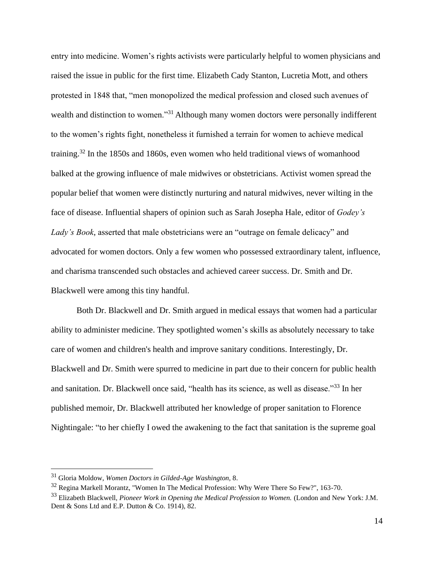entry into medicine. Women's rights activists were particularly helpful to women physicians and raised the issue in public for the first time. Elizabeth Cady Stanton, Lucretia Mott, and others protested in 1848 that, "men monopolized the medical profession and closed such avenues of wealth and distinction to women."<sup>31</sup> Although many women doctors were personally indifferent to the women's rights fight, nonetheless it furnished a terrain for women to achieve medical training.<sup>32</sup> In the 1850s and 1860s, even women who held traditional views of womanhood balked at the growing influence of male midwives or obstetricians. Activist women spread the popular belief that women were distinctly nurturing and natural midwives, never wilting in the face of disease. Influential shapers of opinion such as Sarah Josepha Hale, editor of *Godey's Lady's Book*, asserted that male obstetricians were an "outrage on female delicacy" and advocated for women doctors. Only a few women who possessed extraordinary talent, influence, and charisma transcended such obstacles and achieved career success. Dr. Smith and Dr. Blackwell were among this tiny handful.

Both Dr. Blackwell and Dr. Smith argued in medical essays that women had a particular ability to administer medicine. They spotlighted women's skills as absolutely necessary to take care of women and children's health and improve sanitary conditions. Interestingly, Dr. Blackwell and Dr. Smith were spurred to medicine in part due to their concern for public health and sanitation. Dr. Blackwell once said, ["health has its science, as well as disease."](https://www.inspiringquotes.us/quotes/WONS_ZEgLznic)<sup>33</sup> In her published memoir, Dr. Blackwell attributed her knowledge of proper sanitation to Florence Nightingale: "to her chiefly I owed the awakening to the fact that sanitation is the supreme goal

<sup>31</sup> Gloria Moldow, *Women Doctors in Gilded-Age Washington,* 8.

<sup>32</sup> Regina Markell Morantz, "Women In The Medical Profession: Why Were There So Few?", 163-70.

<sup>33</sup> Elizabeth Blackwell, *Pioneer Work in Opening the Medical Profession to Women.* (London and New York: J.M. Dent & Sons Ltd and E.P. Dutton & Co. 1914), 82.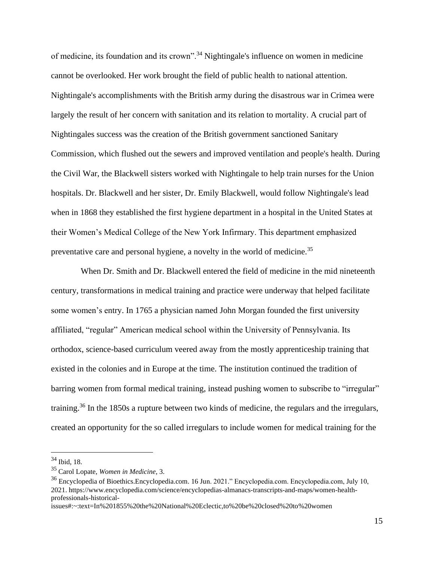of medicine, its foundation and its crown".<sup>34</sup> Nightingale's influence on women in medicine cannot be overlooked. Her work brought the field of public health to national attention. Nightingale's accomplishments with the British army during the disastrous war in Crimea were largely the result of her concern with sanitation and its relation to mortality. A crucial part of Nightingales success was the creation of the British government sanctioned Sanitary Commission, which flushed out the sewers and improved ventilation and people's health. During the Civil War, the Blackwell sisters worked with Nightingale to help train nurses for the Union hospitals. Dr. Blackwell and her sister, Dr. Emily Blackwell, would follow Nightingale's lead when in 1868 they established the first hygiene department in a hospital in the United States at their Women's Medical College of the New York Infirmary. This department emphasized preventative care and personal hygiene, a novelty in the world of medicine.<sup>35</sup>

 When Dr. Smith and Dr. Blackwell entered the field of medicine in the mid nineteenth century, transformations in medical training and practice were underway that helped facilitate some women's entry. In 1765 a physician named John Morgan founded the first university affiliated, "regular" American medical school within the University of Pennsylvania. Its orthodox, science-based curriculum veered away from the mostly apprenticeship training that existed in the colonies and in Europe at the time. The institution continued the tradition of barring women from formal medical training, instead pushing women to subscribe to "irregular" training.<sup>36</sup> In the 1850s a rupture between two kinds of medicine, the regulars and the irregulars, created an opportunity for the so called irregulars to include women for medical training for the

<sup>34</sup> Ibid, 18.

<sup>35</sup> Carol Lopate, *Women in Medicine*, 3.

<sup>36</sup> Encyclopedia of Bioethics.Encyclopedia.com. 16 Jun. 2021." Encyclopedia.com. Encyclopedia.com, July 10, 2021. https://www.encyclopedia.com/science/encyclopedias-almanacs-transcripts-and-maps/women-healthprofessionals-historical-

issues#:~:text=In%201855%20the%20National%20Eclectic,to%20be%20closed%20to%20women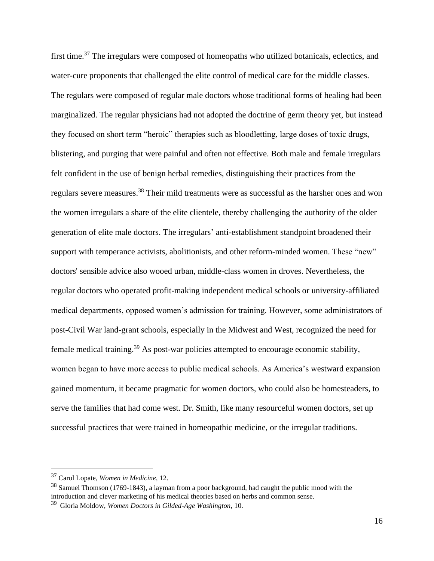first time.<sup>37</sup> The irregulars were composed of homeopaths who utilized botanicals, eclectics, and water-cure proponents that challenged the elite control of medical care for the middle classes. The regulars were composed of regular male doctors whose traditional forms of healing had been marginalized. The regular physicians had not adopted the doctrine of germ theory yet, but instead they focused on short term "heroic" therapies such as bloodletting, large doses of toxic drugs, blistering, and purging that were painful and often not effective. Both male and female irregulars felt confident in the use of benign herbal remedies, distinguishing their practices from the regulars severe measures.<sup>38</sup> Their mild treatments were as successful as the harsher ones and won the women irregulars a share of the elite clientele, thereby challenging the authority of the older generation of elite male doctors. The irregulars' anti-establishment standpoint broadened their support with temperance activists, abolitionists, and other reform-minded women. These "new" doctors' sensible advice also wooed urban, middle-class women in droves. Nevertheless, the regular doctors who operated profit-making independent medical schools or university-affiliated medical departments, opposed women's admission for training. However, some administrators of post-Civil War land-grant schools, especially in the Midwest and West, recognized the need for female medical training.<sup>39</sup> As post-war policies attempted to encourage economic stability, women began to have more access to public medical schools. As America's westward expansion gained momentum, it became pragmatic for women doctors, who could also be homesteaders, to serve the families that had come west. Dr. Smith, like many resourceful women doctors, set up successful practices that were trained in homeopathic medicine, or the irregular traditions.

<sup>37</sup> Carol Lopate, *Women in Medicine*, 12.

<sup>&</sup>lt;sup>38</sup> Samuel Thomson (1769-1843), a layman from a poor background, had caught the public mood with the introduction and clever marketing of his medical theories based on herbs and common sense.

<sup>39</sup> Gloria Moldow, *Women Doctors in Gilded-Age Washington,* 10.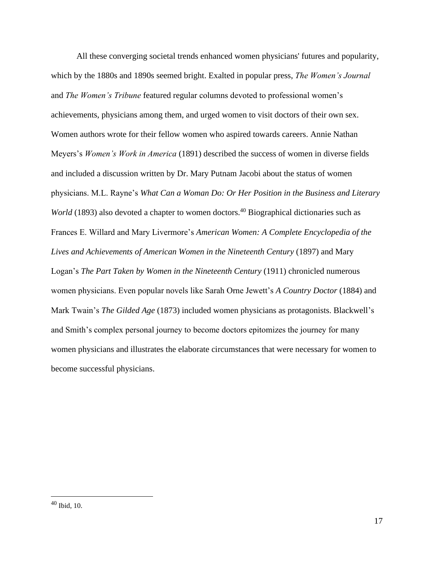All these converging societal trends enhanced women physicians' futures and popularity, which by the 1880s and 1890s seemed bright. Exalted in popular press, *The Women's Journal* and *The Women's Tribune* featured regular columns devoted to professional women's achievements, physicians among them, and urged women to visit doctors of their own sex. Women authors wrote for their fellow women who aspired towards careers. Annie Nathan Meyers's *Women's Work in America* (1891) described the success of women in diverse fields and included a discussion written by Dr. Mary Putnam Jacobi about the status of women physicians. M.L. Rayne's *What Can a Woman Do: Or Her Position in the Business and Literary World* (1893) also devoted a chapter to women doctors.<sup>40</sup> Biographical dictionaries such as Frances E. Willard and Mary Livermore's *American Women: A Complete Encyclopedia of the Lives and Achievements of American Women in the Nineteenth Century* (1897) and Mary Logan's *The Part Taken by Women in the Nineteenth Century* (1911) chronicled numerous women physicians. Even popular novels like Sarah Orne Jewett's *A Country Doctor* (1884) and Mark Twain's *The Gilded Age* (1873) included women physicians as protagonists. Blackwell's and Smith's complex personal journey to become doctors epitomizes the journey for many women physicians and illustrates the elaborate circumstances that were necessary for women to become successful physicians.

<sup>40</sup> Ibid, 10.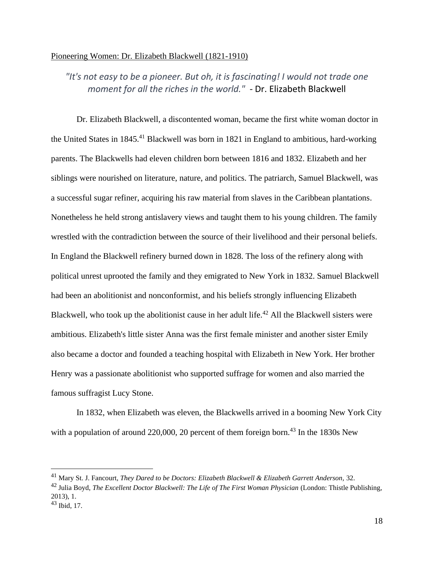#### Pioneering Women: Dr. Elizabeth Blackwell (1821-1910)

## *"It's not easy to be a pioneer. But oh, it is fascinating! I would not trade one moment for all the riches in the world." -* Dr. Elizabeth Blackwell

Dr. Elizabeth Blackwell, a discontented woman, became the first white woman doctor in the United States in 1845.<sup>41</sup> Blackwell was born in 1821 in England to ambitious, hard-working parents. The Blackwells had eleven children born between 1816 and 1832. Elizabeth and her siblings were nourished on literature, nature, and politics. The patriarch, Samuel Blackwell, was a successful sugar refiner, acquiring his raw material from slaves in the Caribbean plantations. Nonetheless he held strong antislavery views and taught them to his young children. The family wrestled with the contradiction between the source of their livelihood and their personal beliefs. In England the Blackwell refinery burned down in 1828. The loss of the refinery along with political unrest uprooted the family and they emigrated to New York in 1832. Samuel Blackwell had been an abolitionist and nonconformist, and his beliefs strongly influencing Elizabeth Blackwell, who took up the abolitionist cause in her adult life.<sup>42</sup> All the Blackwell sisters were ambitious. Elizabeth's little sister Anna was the first female minister and another sister Emily also became a doctor and founded a teaching hospital with Elizabeth in New York. Her brother Henry was a passionate abolitionist who supported suffrage for women and also married the famous suffragist Lucy Stone.

In 1832, when Elizabeth was eleven, the Blackwells arrived in a booming New York City with a population of around 220,000, 20 percent of them foreign born.<sup>43</sup> In the 1830s New

<sup>41</sup> Mary St. J. Fancourt, *They Dared to be Doctors: Elizabeth Blackwell & Elizabeth Garrett Anderson,* 32.

<sup>42</sup> Julia Boyd, *The Excellent Doctor Blackwell: The Life of The First Woman Physician* (London: Thistle Publishing, 2013), 1.

<sup>43</sup> Ibid, 17.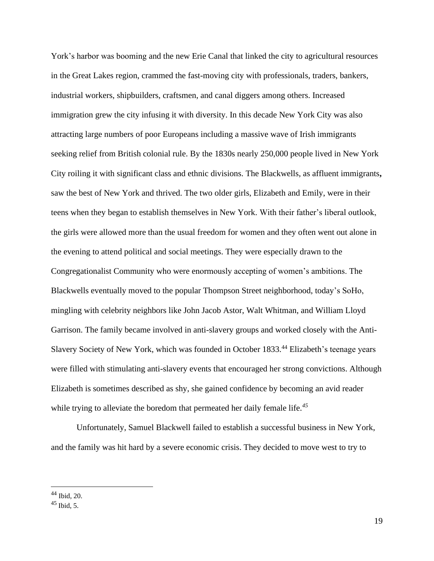York's harbor was booming and the new Erie Canal that linked the city to agricultural resources in the Great Lakes region, crammed the fast-moving city with professionals, traders, bankers, industrial workers, shipbuilders, craftsmen, and canal diggers among others. Increased immigration grew the city infusing it with diversity. In this decade New York City was also attracting large numbers of poor Europeans including a massive wave of Irish immigrants seeking relief from British colonial rule. By the 1830s nearly 250,000 people lived in New York City roiling it with significant class and ethnic divisions. The Blackwells, as affluent immigrants**,** saw the best of New York and thrived. The two older girls, Elizabeth and Emily, were in their teens when they began to establish themselves in New York. With their father's liberal outlook, the girls were allowed more than the usual freedom for women and they often went out alone in the evening to attend political and social meetings. They were especially drawn to the Congregationalist Community who were enormously accepting of women's ambitions. The Blackwells eventually moved to the popular Thompson Street neighborhood, today's SoHo, mingling with celebrity neighbors like John Jacob Astor, Walt Whitman, and William Lloyd Garrison. The family became involved in anti-slavery groups and worked closely with the Anti-Slavery Society of New York, which was founded in October 1833.<sup>44</sup> Elizabeth's teenage years were filled with stimulating anti-slavery events that encouraged her strong convictions. Although Elizabeth is sometimes described as shy, she gained confidence by becoming an avid reader while trying to alleviate the boredom that permeated her daily female life.*<sup>45</sup>*

Unfortunately, Samuel Blackwell failed to establish a successful business in New York, and the family was hit hard by a severe economic crisis. They decided to move west to try to

<sup>44</sup> Ibid, 20.

 $45$  Ibid, 5.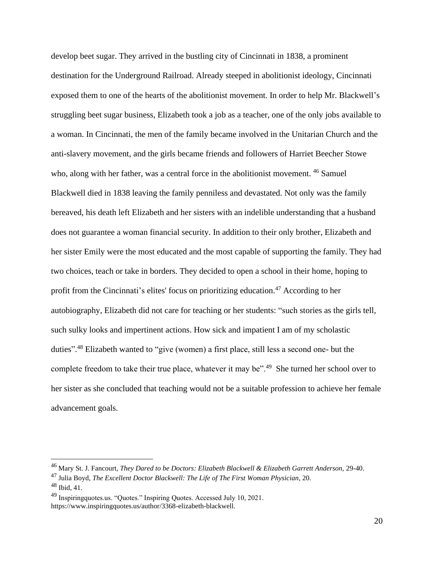develop beet sugar. They arrived in the bustling city of Cincinnati in 1838, a prominent destination for the Underground Railroad. Already steeped in abolitionist ideology, Cincinnati exposed them to one of the hearts of the abolitionist movement. In order to help Mr. Blackwell's struggling beet sugar business, Elizabeth took a job as a teacher, one of the only jobs available to a woman. In Cincinnati, the men of the family became involved in the Unitarian Church and the anti-slavery movement, and the girls became friends and followers of Harriet Beecher Stowe who, along with her father, was a central force in the abolitionist movement. <sup>46</sup> Samuel Blackwell died in 1838 leaving the family penniless and devastated. Not only was the family bereaved, his death left Elizabeth and her sisters with an indelible understanding that a husband does not guarantee a woman financial security. In addition to their only brother, Elizabeth and her sister Emily were the most educated and the most capable of supporting the family. They had two choices, teach or take in borders. They decided to open a school in their home, hoping to profit from the Cincinnati's elites' focus on prioritizing education.<sup>47</sup> According to her autobiography, Elizabeth did not care for teaching or her students: "such stories as the girls tell, such sulky looks and impertinent actions. How sick and impatient I am of my scholastic duties".<sup>48</sup> Elizabeth wanted to ["give \(women\) a first place, still less a second one-](https://www.inspiringquotes.us/quotes/F4Xn_BXGzk5YE) but the [complete freedom to take their true place, whatever it may be".](https://www.inspiringquotes.us/quotes/F4Xn_BXGzk5YE)<sup>49</sup> She turned her school over to her sister as she concluded that teaching would not be a suitable profession to achieve her female advancement goals.

<sup>46</sup> Mary St. J. Fancourt, *They Dared to be Doctors: Elizabeth Blackwell & Elizabeth Garrett Anderson,* 29-40. <sup>47</sup> Julia Boyd, *The Excellent Doctor Blackwell: The Life of The First Woman Physician*, 20.

 $48$  Ibid, 41.

<sup>49</sup> Inspiringquotes.us. "Quotes." Inspiring Quotes. Accessed July 10, 2021.

https://www.inspiringquotes.us/author/3368-elizabeth-blackwell.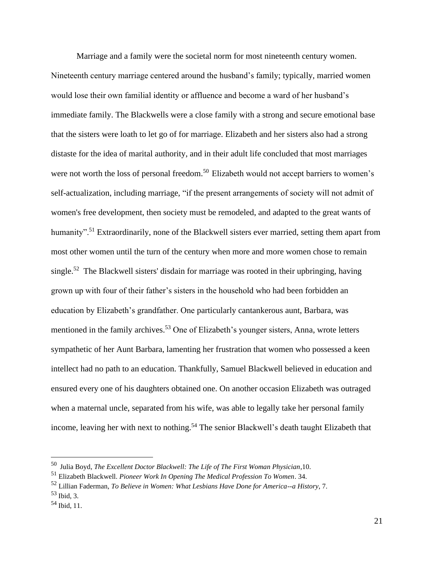Marriage and a family were the societal norm for most nineteenth century women. Nineteenth century marriage centered around the husband's family; typically, married women would lose their own familial identity or affluence and become a ward of her husband's immediate family. The Blackwells were a close family with a strong and secure emotional base that the sisters were loath to let go of for marriage. Elizabeth and her sisters also had a strong distaste for the idea of marital authority, and in their adult life concluded that most marriages were not worth the loss of personal freedom.<sup>50</sup> Elizabeth would not accept barriers to women's self-actualization, including marriage, "if the present arrangements of society will not admit of women's free development, then society must be remodeled, and adapted to the great wants of humanity".<sup>51</sup> Extraordinarily, none of the Blackwell sisters ever married, setting them apart from most other women until the turn of the century when more and more women chose to remain single.<sup>52</sup> The Blackwell sisters' disdain for marriage was rooted in their upbringing, having grown up with four of their father's sisters in the household who had been forbidden an education by Elizabeth's grandfather. One particularly cantankerous aunt, Barbara, was mentioned in the family archives.<sup>53</sup> One of Elizabeth's younger sisters, Anna, wrote letters sympathetic of her Aunt Barbara, lamenting her frustration that women who possessed a keen intellect had no path to an education. Thankfully, Samuel Blackwell believed in education and ensured every one of his daughters obtained one. On another occasion Elizabeth was outraged when a maternal uncle, separated from his wife, was able to legally take her personal family income, leaving her with next to nothing.<sup>54</sup> The senior Blackwell's death taught Elizabeth that

<sup>50</sup> Julia Boyd, *The Excellent Doctor Blackwell: The Life of The First Woman Physician*,10.

<sup>51</sup> Elizabeth Blackwell. *Pioneer Work In Opening The Medical Profession To Women*. 34.

<sup>52</sup> Lillian Faderman, *To Believe in Women: What Lesbians Have Done for America--a History*, 7.

 $53$  Ibid, 3.

<sup>54</sup> Ibid, 11.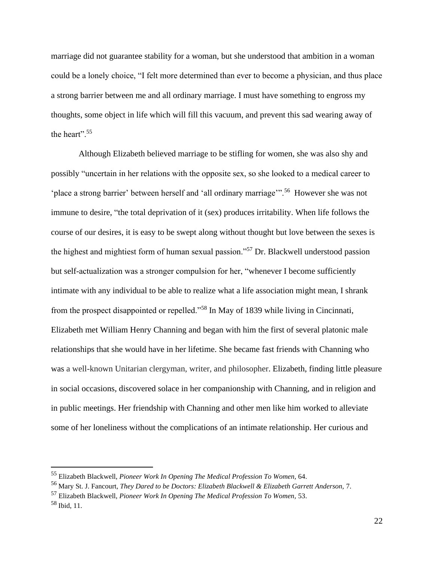marriage did not guarantee stability for a woman, but she understood that ambition in a woman could be a lonely choice, "I felt more determined than ever to become a physician, and thus place a strong barrier between me and all ordinary marriage. I must have something to engross my thoughts, some object in life which will fill this vacuum, and prevent this sad wearing away of the heart".<sup>55</sup>

Although Elizabeth believed marriage to be stifling for women, she was also shy and possibly "uncertain in her relations with the opposite sex, so she looked to a medical career to 'place a strong barrier' between herself and 'all ordinary marriage'".<sup>56</sup> However she was not immune to desire, ["the total deprivation of it \(sex\) produces irritability.](https://www.inspiringquotes.us/quotes/xBfv_N86gEIsK) [When life follows the](https://www.inspiringquotes.us/quotes/wvUA_iWS5IO6x)  [course of our desires, it is easy to be swept along without thought](https://www.inspiringquotes.us/quotes/wvUA_iWS5IO6x) but [love between the sexes is](https://www.inspiringquotes.us/quotes/IrXx_BOE796Tx)  [the highest and mightiest form of human sexual passion."](https://www.inspiringquotes.us/quotes/IrXx_BOE796Tx)<sup>57</sup> Dr. Blackwell understood passion but self-actualization was a stronger compulsion for her, "whenever I become sufficiently intimate with any individual to be able to realize what a life association might mean, I shrank from the prospect disappointed or repelled."<sup>58</sup> In May of 1839 while living in Cincinnati, Elizabeth met William Henry Channing and began with him the first of several platonic male relationships that she would have in her lifetime. She became fast friends with Channing who was a well-known Unitarian clergyman, writer, and philosopher. Elizabeth, finding little pleasure in social occasions, discovered solace in her companionship with Channing, and in religion and in public meetings. Her friendship with Channing and other men like him worked to alleviate some of her loneliness without the complications of an intimate relationship. Her curious and

<sup>55</sup> Elizabeth Blackwell, *Pioneer Work In Opening The Medical Profession To Women,* 64.

<sup>56</sup> Mary St. J. Fancourt, *They Dared to be Doctors: Elizabeth Blackwell & Elizabeth Garrett Anderson,* 7.

<sup>57</sup> Elizabeth Blackwell, *Pioneer Work In Opening The Medical Profession To Women,* 53.

 $58$  Ibid, 11.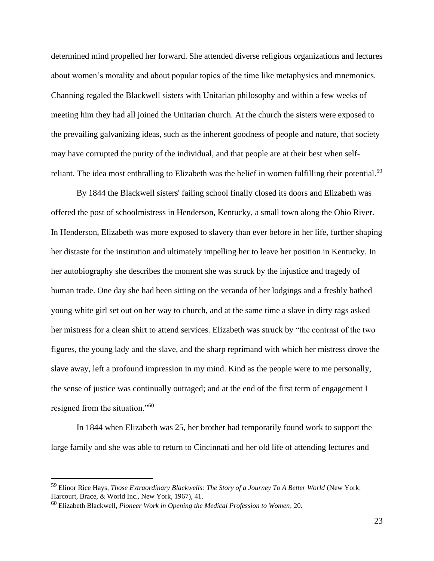determined mind propelled her forward. She attended diverse religious organizations and lectures about women's morality and about popular topics of the time like metaphysics and mnemonics. Channing regaled the Blackwell sisters with Unitarian philosophy and within a few weeks of meeting him they had all joined the Unitarian church. At the church the sisters were exposed to the prevailing galvanizing ideas, such as the inherent goodness of people and nature, that society may have corrupted the purity of the individual, and that people are at their best when selfreliant. The idea most enthralling to Elizabeth was the belief in women fulfilling their potential.<sup>59</sup>

By 1844 the Blackwell sisters' failing school finally closed its doors and Elizabeth was offered the post of schoolmistress in Henderson, Kentucky, a small town along the Ohio River. In Henderson, Elizabeth was more exposed to slavery than ever before in her life, further shaping her distaste for the institution and ultimately impelling her to leave her position in Kentucky. In her autobiography she describes the moment she was struck by the injustice and tragedy of human trade. One day she had been sitting on the veranda of her lodgings and a freshly bathed young white girl set out on her way to church, and at the same time a slave in dirty rags asked her mistress for a clean shirt to attend services. Elizabeth was struck by "the contrast of the two figures, the young lady and the slave, and the sharp reprimand with which her mistress drove the slave away, left a profound impression in my mind. Kind as the people were to me personally, the sense of justice was continually outraged; and at the end of the first term of engagement I resigned from the situation."<sup>60</sup>

In 1844 when Elizabeth was 25, her brother had temporarily found work to support the large family and she was able to return to Cincinnati and her old life of attending lectures and

<sup>59</sup> Elinor Rice Hays, *Those Extraordinary Blackwells: The Story of a Journey To A Better World* (New York: Harcourt, Brace, & World Inc., New York, 1967), 41.

<sup>60</sup> Elizabeth Blackwell, *Pioneer Work in Opening the Medical Profession to Women*, 20.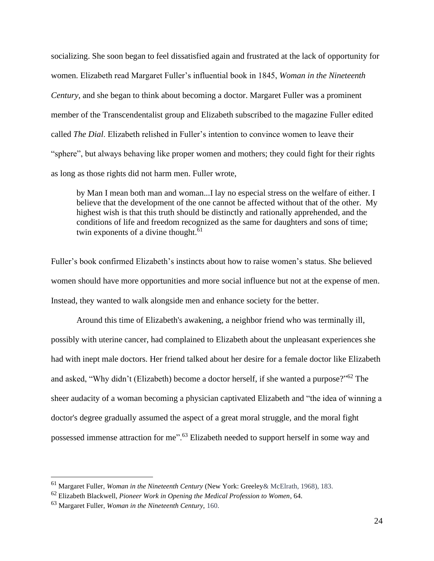socializing. She soon began to feel dissatisfied again and frustrated at the lack of opportunity for women. Elizabeth read Margaret Fuller's influential book in 1845, *Woman in the Nineteenth Century,* and she began to think about becoming a doctor. Margaret Fuller was a prominent member of the Transcendentalist group and Elizabeth subscribed to the magazine Fuller edited called *The Dial*. Elizabeth relished in Fuller's intention to convince women to leave their "sphere", but always behaving like proper women and mothers; they could fight for their rights as long as those rights did not harm men. Fuller wrote,

by Man I mean both man and woman...I lay no especial stress on the welfare of either. I believe that the development of the one cannot be affected without that of the other. My highest wish is that this truth should be distinctly and rationally apprehended, and the conditions of life and freedom recognized as the same for daughters and sons of time; twin exponents of a divine thought.<sup>61</sup>

Fuller's book confirmed Elizabeth's instincts about how to raise women's status. She believed women should have more opportunities and more social influence but not at the expense of men. Instead, they wanted to walk alongside men and enhance society for the better.

Around this time of Elizabeth's awakening, a neighbor friend who was terminally ill, possibly with uterine cancer, had complained to Elizabeth about the unpleasant experiences she had with inept male doctors. Her friend talked about her desire for a female doctor like Elizabeth and asked, "Why didn't (Elizabeth) become a doctor herself, if she wanted a purpose?"<sup>62</sup> The sheer audacity of a woman becoming a physician captivated Elizabeth and ["the idea of winning a](https://www.inspiringquotes.us/quotes/UKSR_iBaVyh78)  [doctor's degree gradually assumed the aspect of a great moral struggle, and the moral fight](https://www.inspiringquotes.us/quotes/UKSR_iBaVyh78)  [possessed immense attraction for me"](https://www.inspiringquotes.us/quotes/UKSR_iBaVyh78).<sup>63</sup> Elizabeth needed to support herself in some way and

<sup>61</sup> Margaret Fuller, *Woman in the Nineteenth Century* (New York: Greeley& McElrath, 1968), 183.

<sup>62</sup> Elizabeth Blackwell, *Pioneer Work in Opening the Medical Profession to Women*, 64.

<sup>63</sup> Margaret Fuller, *Woman in the Nineteenth Century,* 160.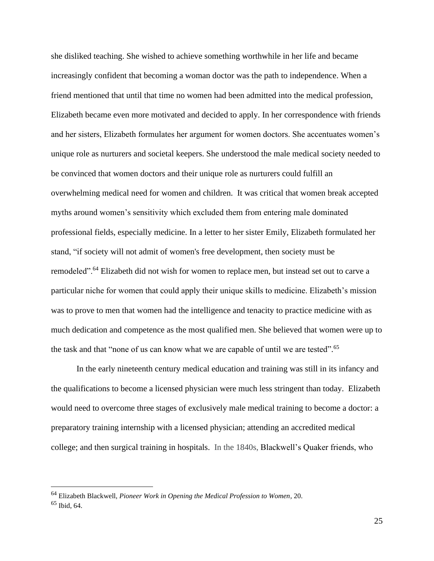she disliked teaching. She wished to achieve something worthwhile in her life and became increasingly confident that becoming a woman doctor was the path to independence. When a friend mentioned that until that time no women had been admitted into the medical profession, Elizabeth became even more motivated and decided to apply. In her correspondence with friends and her sisters, Elizabeth formulates her argument for women doctors. She accentuates women's unique role as nurturers and societal keepers. She understood the male medical society needed to be convinced that women doctors and their unique role as nurturers could fulfill an overwhelming medical need for women and children. It was critical that women break accepted myths around women's sensitivity which excluded them from entering male dominated professional fields, especially medicine. In a letter to her sister Emily, Elizabeth formulated her stand, "if society will not admit of women's free development, then society must be remodeled".<sup>64</sup> Elizabeth did not wish for women to replace men, but instead set out to carve a particular niche for women that could apply their unique skills to medicine. Elizabeth's mission was to prove to men that women had the intelligence and tenacity to practice medicine with as much dedication and competence as the most qualified men. She believed that women were up to the task and that ["none of us can know what we are capable of until](https://www.inspiringquotes.us/quotes/vo8L_NkYmWRZ4) we are tested".<sup>65</sup>

In the early nineteenth century medical education and training was still in its infancy and the qualifications to become a licensed physician were much less stringent than today. Elizabeth would need to overcome three stages of exclusively male medical training to become a doctor: a preparatory training internship with a licensed physician; attending an accredited medical college; and then surgical training in hospitals. In the 1840s, Blackwell's Quaker friends, who

<sup>64</sup> Elizabeth Blackwell, *Pioneer Work in Opening the Medical Profession to Women*, 20.

<sup>65</sup> Ibid, 64.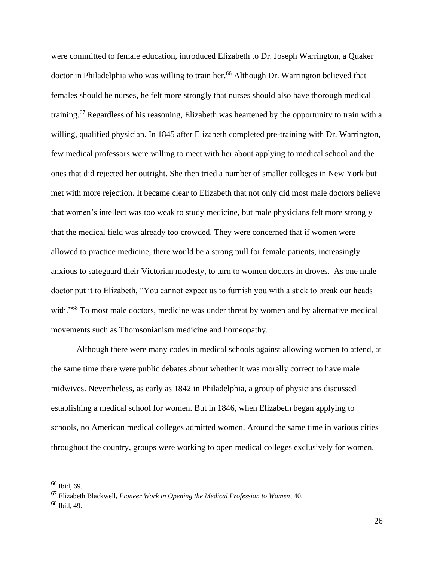were committed to female education, introduced Elizabeth to Dr. Joseph Warrington, a Quaker doctor in Philadelphia who was willing to train her.<sup>66</sup> Although Dr. Warrington believed that females should be nurses, he felt more strongly that nurses should also have thorough medical training.<sup>67</sup> Regardless of his reasoning, Elizabeth was heartened by the opportunity to train with a willing, qualified physician. In 1845 after Elizabeth completed pre-training with Dr. Warrington, few medical professors were willing to meet with her about applying to medical school and the ones that did rejected her outright. She then tried a number of smaller colleges in New York but met with more rejection. It became clear to Elizabeth that not only did most male doctors believe that women's intellect was too weak to study medicine, but male physicians felt more strongly that the medical field was already too crowded. They were concerned that if women were allowed to practice medicine, there would be a strong pull for female patients, increasingly anxious to safeguard their Victorian modesty, to turn to women doctors in droves. As one male doctor put it to Elizabeth, "You cannot expect us to furnish you with a stick to break our heads with."<sup>68</sup> To most male doctors, medicine was under threat by women and by alternative medical movements such as Thomsonianism medicine and homeopathy.

Although there were many codes in medical schools against allowing women to attend, at the same time there were public debates about whether it was morally correct to have male midwives. Nevertheless, as early as 1842 in Philadelphia, a group of physicians discussed establishing a medical school for women. But in 1846, when Elizabeth began applying to schools, no American medical colleges admitted women. Around the same time in various cities throughout the country, groups were working to open medical colleges exclusively for women.

<sup>66</sup> Ibid, 69.

<sup>67</sup> Elizabeth Blackwell, *Pioneer Work in Opening the Medical Profession to Women*, 40.

 $68$  Ibid, 49.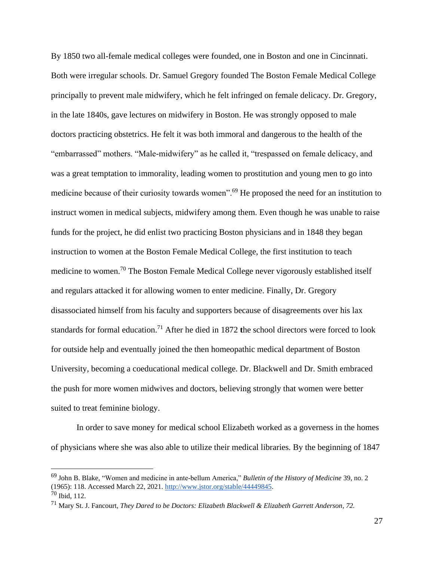By 1850 two all-female medical colleges were founded, one in Boston and one in Cincinnati. Both were irregular schools. Dr. Samuel Gregory founded The Boston Female Medical College principally to prevent male midwifery, which he felt infringed on female delicacy. Dr. Gregory, in the late 1840s, gave lectures on midwifery in Boston. He was strongly opposed to male doctors practicing obstetrics. He felt it was both immoral and dangerous to the health of the "embarrassed" mothers. "Male-midwifery" as he called it, "trespassed on female delicacy, and was a great temptation to immorality, leading women to prostitution and young men to go into medicine because of their curiosity towards women".<sup>69</sup> He proposed the need for an institution to instruct women in medical subjects, midwifery among them. Even though he was unable to raise funds for the project, he did enlist two practicing Boston physicians and in 1848 they began instruction to women at the Boston Female Medical College, the first institution to teach medicine to women.<sup>70</sup> The Boston Female Medical College never vigorously established itself and regulars attacked it for allowing women to enter medicine. Finally, Dr. Gregory disassociated himself from his faculty and supporters because of disagreements over his lax standards for formal education.<sup>71</sup> After he died in 1872 **t**he school directors were forced to look for outside help and eventually joined the then homeopathic medical department of Boston University, becoming a coeducational medical college. Dr. Blackwell and Dr. Smith embraced the push for more women midwives and doctors, believing strongly that women were better suited to treat feminine biology.

In order to save money for medical school Elizabeth worked as a governess in the homes of physicians where she was also able to utilize their medical libraries. By the beginning of 1847

<sup>69</sup> John B. Blake, "Women and medicine in ante-bellum America," *Bulletin of the History of Medicine* 39, no. 2 (1965): 118. Accessed March 22, 2021. [http://www.jstor.org/stable/44449845.](http://www.jstor.org/stable/44449845)  $70$  Ibid, 112.

<sup>71</sup> Mary St. J. Fancourt, *They Dared to be Doctors: Elizabeth Blackwell & Elizabeth Garrett Anderson, 72.*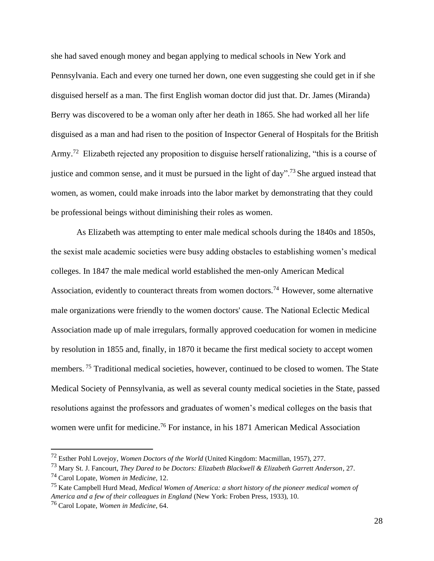she had saved enough money and began applying to medical schools in New York and Pennsylvania. Each and every one turned her down, one even suggesting she could get in if she disguised herself as a man. The first English woman doctor did just that. Dr. James (Miranda) Berry was discovered to be a woman only after her death in 1865. She had worked all her life disguised as a man and had risen to the position of Inspector General of Hospitals for the British Army.<sup>72</sup> Elizabeth rejected any proposition to disguise herself rationalizing, "this is a course of justice and common sense, and it must be pursued in the light of day".<sup>73</sup> She argued instead that women, as women, could make inroads into the labor market by demonstrating that they could be professional beings without diminishing their roles as women.

As Elizabeth was attempting to enter male medical schools during the 1840s and 1850s, the sexist male academic societies were busy adding obstacles to establishing women's medical colleges. In 1847 the male medical world established the men-only American Medical Association, evidently to counteract threats from women doctors.<sup>74</sup> However, some alternative male organizations were friendly to the women doctors' cause. The National Eclectic Medical Association made up of male irregulars, formally approved coeducation for women in medicine by resolution in 1855 and, finally, in 1870 it became the first medical society to accept women members.<sup>75</sup> Traditional medical societies, however, continued to be closed to women. The State Medical Society of Pennsylvania, as well as several county medical societies in the State, passed resolutions against the professors and graduates of women's medical colleges on the basis that women were unfit for medicine.<sup>76</sup> For instance, in his 1871 American Medical Association

<sup>72</sup> Esther Pohl Lovejoy, *Women Doctors of the World* (United Kingdom: Macmillan, 1957), 277.

<sup>73</sup> Mary St. J. Fancourt, *They Dared to be Doctors: Elizabeth Blackwell & Elizabeth Garrett Anderson*, 27.

<sup>74</sup> Carol Lopate, *Women in Medicine*, 12.

<sup>75</sup> Kate Campbell Hurd Mead, *Medical Women of America: a short history of the pioneer medical women of America and a few of their colleagues in England* (New York: Froben Press, 1933), 10.

<sup>76</sup> Carol Lopate, *Women in Medicine*, 64.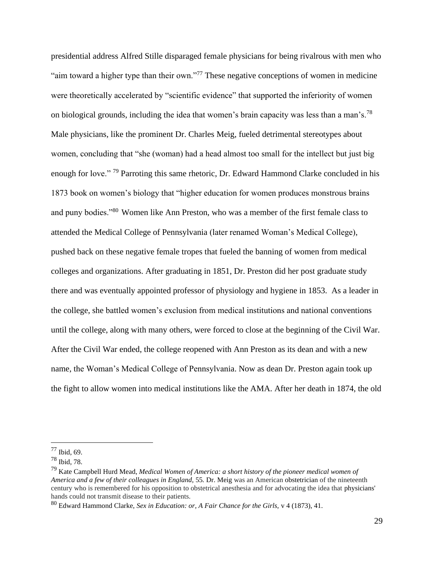presidential address Alfred Stille disparaged female physicians for being rivalrous with men who "aim toward a higher type than their own."<sup>77</sup> These negative conceptions of women in medicine were theoretically accelerated by "scientific evidence" that supported the inferiority of women on biological grounds, including the idea that women's brain capacity was less than a man's.<sup>78</sup> Male physicians, like the prominent Dr. Charles Meig, fueled detrimental stereotypes about women, concluding that "she (woman) had a head almost too small for the intellect but just big enough for love."<sup>79</sup> Parroting this same rhetoric, Dr. Edward Hammond Clarke concluded in his 1873 book on women's biology that "higher education for women produces monstrous brains and puny bodies."<sup>80</sup> Women like Ann Preston, who was a member of the first female class to attended the Medical College of Pennsylvania (later renamed Woman's Medical College), pushed back on these negative female tropes that fueled the banning of women from medical colleges and organizations. After graduating in 1851, Dr. Preston did her post graduate study there and was eventually appointed professor of physiology and hygiene in 1853. As a leader in the college, she battled women's exclusion from medical institutions and national conventions until the college, along with many others, were forced to close at the beginning of the Civil War. After the Civil War ended, the college reopened with Ann Preston as its dean and with a new name, the Woman's Medical College of Pennsylvania. Now as dean Dr. Preston again took up the fight to allow women into medical institutions like the AMA. After her death in 1874, the old

<sup>77</sup> Ibid, 69.

<sup>78</sup> Ibid, 78.

<sup>79</sup> Kate Campbell Hurd Mead, *Medical Women of America: a short history of the pioneer medical women of America and a few of their colleagues in England,* 55. Dr. Meig was an American [obstetrician](https://en.wikipedia.org/wiki/Obstetrician) of the nineteenth century who is remembered for his opposition to obstetrical anesthesia and for advocating the idea that [physicians'](https://en.wikipedia.org/wiki/Physician)  hands could not transmit disease to their patients.

<sup>80</sup> Edward Hammond Clarke, *Sex in Education: or, A Fair Chance for the Girls,* v 4 (1873), 41.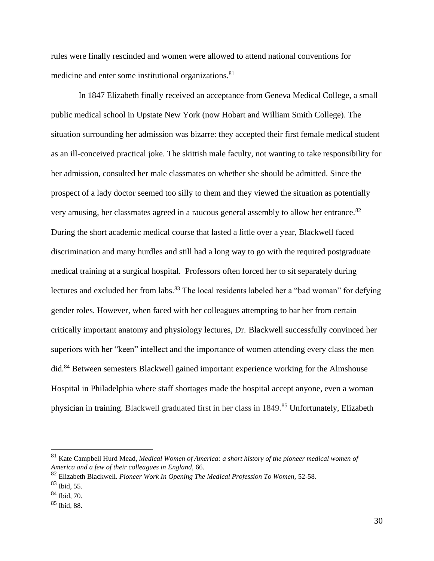rules were finally rescinded and women were allowed to attend national conventions for medicine and enter some institutional organizations.<sup>81</sup>

In 1847 Elizabeth finally received an acceptance from Geneva Medical College, a small public medical school in Upstate New York (now Hobart and William Smith College). The situation surrounding her admission was bizarre: they accepted their first female medical student as an ill-conceived practical joke. The skittish male faculty, not wanting to take responsibility for her admission, consulted her male classmates on whether she should be admitted. Since the prospect of a lady doctor seemed too silly to them and they viewed the situation as potentially very amusing, her classmates agreed in a raucous general assembly to allow her entrance.<sup>82</sup> During the short academic medical course that lasted a little over a year, Blackwell faced discrimination and many hurdles and still had a long way to go with the required postgraduate medical training at a surgical hospital. Professors often forced her to sit separately during lectures and excluded her from labs.<sup>83</sup> The local residents labeled her a "bad woman" for defying gender roles. However, when faced with her colleagues attempting to bar her from certain critically important anatomy and physiology lectures, Dr. Blackwell successfully convinced her superiors with her "keen" intellect and the importance of women attending every class the men did.<sup>84</sup> Between semesters Blackwell gained important experience working for the Almshouse Hospital in Philadelphia where staff shortages made the hospital accept anyone, even a woman physician in training. Blackwell graduated first in her class in 1849.<sup>85</sup> Unfortunately, Elizabeth

<sup>81</sup> Kate Campbell Hurd Mead, *Medical Women of America: a short history of the pioneer medical women of America and a few of their colleagues in England,* 66.

<sup>82</sup> Elizabeth Blackwell. *Pioneer Work In Opening The Medical Profession To Women,* 52-58.

 $83$  Ibid, 55.

<sup>84</sup> Ibid, 70.

<sup>85</sup> Ibid, 88.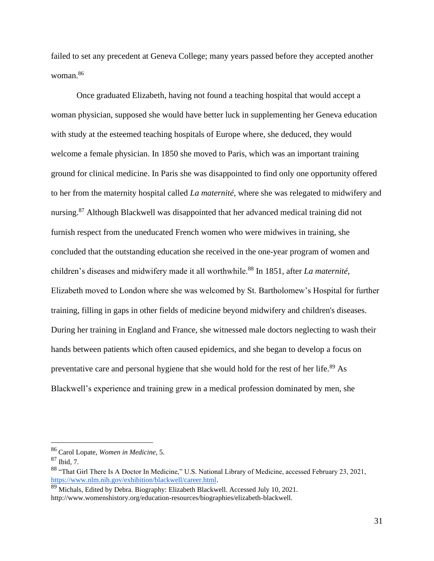failed to set any precedent at Geneva College; many years passed before they accepted another woman.<sup>86</sup>

Once graduated Elizabeth, having not found a teaching hospital that would accept a woman physician, supposed she would have better luck in supplementing her Geneva education with study at the esteemed teaching hospitals of Europe where, she deduced, they would welcome a female physician. In 1850 she moved to Paris, which was an important training ground for clinical medicine. In Paris she was disappointed to find only one opportunity offered to her from the maternity hospital called *La maternité,* where she was relegated to midwifery and nursing.<sup>87</sup> Although Blackwell was disappointed that her advanced medical training did not furnish respect from the uneducated French women who were midwives in training, she concluded that the outstanding education she received in the one-year program of women and children's diseases and midwifery made it all worthwhile.<sup>88</sup> In 1851, after *La maternité*, Elizabeth moved to London where she was welcomed by St. Bartholomew's Hospital for further training, filling in gaps in other fields of medicine beyond midwifery and children's diseases. During her training in England and France, she witnessed male doctors neglecting to wash their hands between patients which often caused epidemics, and she began to develop a focus on preventative care and personal hygiene that she would hold for the rest of her life.<sup>89</sup> As Blackwell's experience and training grew in a medical profession dominated by men, she

<sup>86</sup> Carol Lopate, *Women in Medicine*, 5.

<sup>87</sup> Ibid, 7.

<sup>88</sup> "That Girl There Is A Doctor In Medicine," U.S. National Library of Medicine, accessed February 23, 2021, [https://www.nlm.nih.gov/exhibition/blackwell/career.html.](https://www.nlm.nih.gov/exhibition/blackwell/career.html)

<sup>&</sup>lt;sup>89</sup> Michals, Edited by Debra. Biography: Elizabeth Blackwell. Accessed July 10, 2021. http://www.womenshistory.org/education-resources/biographies/elizabeth-blackwell.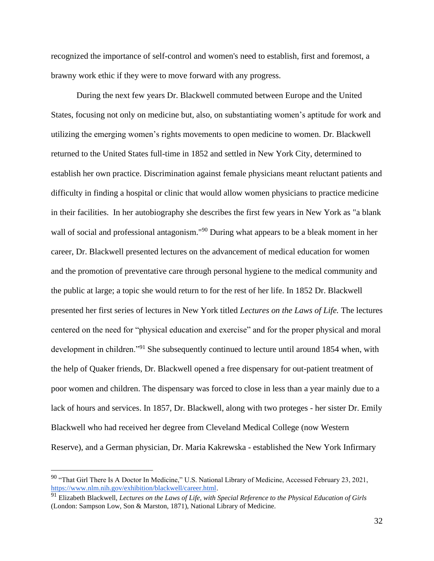recognized the importance of self-control and women's need to establish, first and foremost, a brawny work ethic if they were to move forward with any progress.

During the next few years Dr. Blackwell commuted between Europe and the United States, focusing not only on medicine but, also, on substantiating women's aptitude for work and utilizing the emerging women's rights movements to open medicine to women. Dr. Blackwell returned to the United States full-time in 1852 and settled in New York City, determined to establish her own practice. Discrimination against female physicians meant reluctant patients and difficulty in finding a hospital or clinic that would allow women physicians to practice medicine in their facilities. In her autobiography she describes the first few years in New York as "a blank wall of social and professional antagonism."<sup>90</sup> During what appears to be a bleak moment in her career, Dr. Blackwell presented lectures on the advancement of medical education for women and the promotion of preventative care through personal hygiene to the medical community and the public at large; a topic she would return to for the rest of her life. In 1852 Dr. Blackwell presented her first series of lectures in New York titled *Lectures on the Laws of Life.* The lectures centered on the need for "physical education and exercise" and for the proper physical and moral development in children."<sup>91</sup> She subsequently continued to lecture until around 1854 when, with the help of Quaker friends, Dr. Blackwell opened a free dispensary for out-patient treatment of poor women and children. The dispensary was forced to close in less than a year mainly due to a lack of hours and services. In 1857, Dr. Blackwell, along with two proteges - her sister Dr. Emily Blackwell who had received her degree from Cleveland Medical College (now Western Reserve), and a German physician, Dr. Maria Kakrewska - established the New York Infirmary

<sup>&</sup>lt;sup>90</sup> "That Girl There Is A Doctor In Medicine," U.S. National Library of Medicine, Accessed February 23, 2021, [https://www.nlm.nih.gov/exhibition/blackwell/career.html.](https://www.nlm.nih.gov/exhibition/blackwell/career.html)

<sup>91</sup> Elizabeth Blackwell, *Lectures on the Laws of Life, with Special Reference to the Physical Education of Girls*  (London: Sampson Low, Son & Marston, 1871), National Library of Medicine.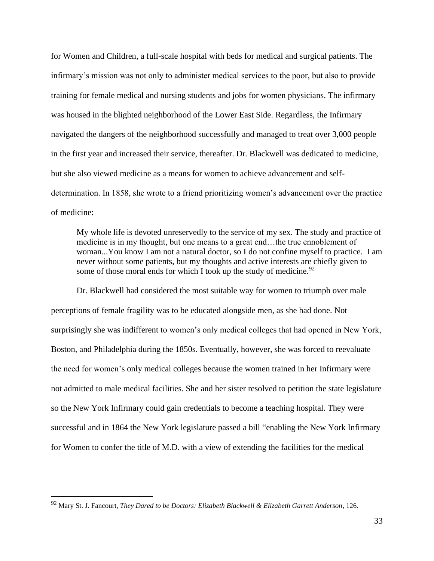for Women and Children, a full-scale hospital with beds for medical and surgical patients. The infirmary's mission was not only to administer medical services to the poor, but also to provide training for female medical and nursing students and jobs for women physicians. The infirmary was housed in the blighted neighborhood of the Lower East Side. Regardless, the Infirmary navigated the dangers of the neighborhood successfully and managed to treat over 3,000 people in the first year and increased their service, thereafter. Dr. Blackwell was dedicated to medicine, but she also viewed medicine as a means for women to achieve advancement and selfdetermination. In 1858, she wrote to a friend prioritizing women's advancement over the practice of medicine:

My whole life is devoted unreservedly to the service of my sex. The study and practice of medicine is in my thought, but one means to a great end…the true ennoblement of woman...You know I am not a natural doctor, so I do not confine myself to practice. I am never without some patients, but my thoughts and active interests are chiefly given to some of those moral ends for which I took up the study of medicine.  $92$ 

Dr. Blackwell had considered the most suitable way for women to triumph over male perceptions of female fragility was to be educated alongside men, as she had done. Not surprisingly she was indifferent to women's only medical colleges that had opened in New York, Boston, and Philadelphia during the 1850s. Eventually, however, she was forced to reevaluate the need for women's only medical colleges because the women trained in her Infirmary were not admitted to male medical facilities. She and her sister resolved to petition the state legislature so the New York Infirmary could gain credentials to become a teaching hospital. They were successful and in 1864 the New York legislature passed a bill "enabling the New York Infirmary for Women to confer the title of M.D. with a view of extending the facilities for the medical

<sup>92</sup> Mary St. J. Fancourt, *They Dared to be Doctors: Elizabeth Blackwell & Elizabeth Garrett Anderson*, 126.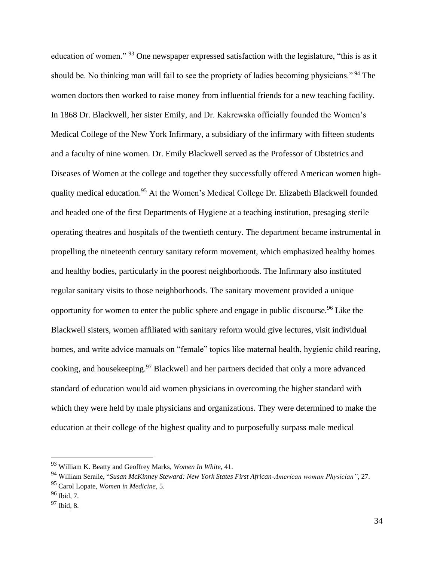education of women." <sup>93</sup> One newspaper expressed satisfaction with the legislature, "this is as it should be. No thinking man will fail to see the propriety of ladies becoming physicians."<sup>94</sup> The women doctors then worked to raise money from influential friends for a new teaching facility. In 1868 Dr. Blackwell, her sister Emily, and Dr. Kakrewska officially founded the Women's Medical College of the New York Infirmary, a subsidiary of the infirmary with fifteen students and a faculty of nine women. Dr. Emily Blackwell served as the Professor of Obstetrics and Diseases of Women at the college and together they successfully offered American women highquality medical education.<sup>95</sup> At the Women's Medical College Dr. Elizabeth Blackwell founded and headed one of the first Departments of Hygiene at a teaching institution, presaging sterile operating theatres and hospitals of the twentieth century. The department became instrumental in propelling the nineteenth century sanitary reform movement, which emphasized healthy homes and healthy bodies, particularly in the poorest neighborhoods. The Infirmary also instituted regular sanitary visits to those neighborhoods. The sanitary movement provided a unique opportunity for women to enter the public sphere and engage in public discourse.<sup>96</sup> Like the Blackwell sisters, women affiliated with sanitary reform would give lectures, visit individual homes, and write advice manuals on "female" topics like maternal health, hygienic child rearing, cooking, and housekeeping.<sup>97</sup> Blackwell and her partners decided that only a more advanced standard of education would aid women physicians in overcoming the higher standard with which they were held by male physicians and organizations. They were determined to make the education at their college of the highest quality and to purposefully surpass male medical

<sup>93</sup> William K. Beatty and Geoffrey Marks, *Women In White*, 41.

<sup>94</sup> William Seraile, "*Susan McKinney Steward: New York States First African-American woman Physician"*, 27.

<sup>95</sup> Carol Lopate, *Women in Medicine*, 5.

<sup>96</sup> Ibid, 7.

<sup>97</sup> Ibid, 8.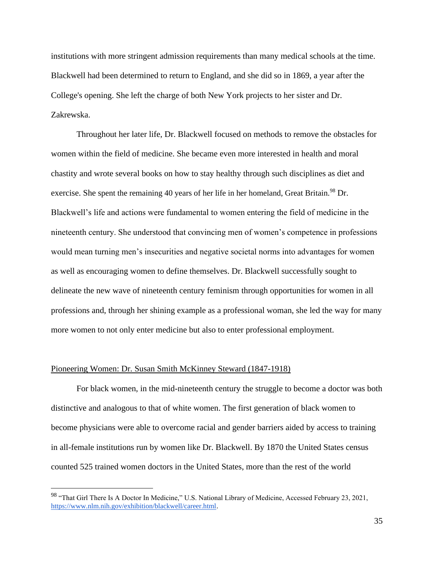institutions with more stringent admission requirements than many medical schools at the time. Blackwell had been determined to return to England, and she did so in 1869, a year after the College's opening. She left the charge of both New York projects to her sister and Dr. Zakrewska.

Throughout her later life, Dr. Blackwell focused on methods to remove the obstacles for women within the field of medicine. She became even more interested in health and moral chastity and wrote several books on how to stay healthy through such disciplines as diet and exercise. She spent the remaining 40 years of her life in her homeland, Great Britain.<sup>98</sup> Dr. Blackwell's life and actions were fundamental to women entering the field of medicine in the nineteenth century. She understood that convincing men of women's competence in professions would mean turning men's insecurities and negative societal norms into advantages for women as well as encouraging women to define themselves. Dr. Blackwell successfully sought to delineate the new wave of nineteenth century feminism through opportunities for women in all professions and, through her shining example as a professional woman, she led the way for many more women to not only enter medicine but also to enter professional employment.

#### Pioneering Women: Dr. Susan Smith McKinney Steward (1847-1918)

For black women, in the mid-nineteenth century the struggle to become a doctor was both distinctive and analogous to that of white women. The first generation of black women to become physicians were able to overcome racial and gender barriers aided by access to training in all-female institutions run by women like Dr. Blackwell. By 1870 the United States census counted 525 trained women doctors in the United States, more than the rest of the world

<sup>98 &</sup>quot;That Girl There Is A Doctor In Medicine," U.S. National Library of Medicine, Accessed February 23, 2021, [https://www.nlm.nih.gov/exhibition/blackwell/career.html.](https://www.nlm.nih.gov/exhibition/blackwell/career.html)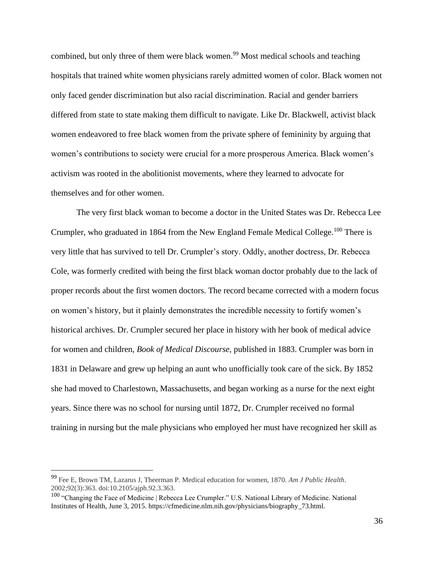combined, but only three of them were black women.<sup>99</sup> Most medical schools and teaching hospitals that trained white women physicians rarely admitted women of color. Black women not only faced gender discrimination but also racial discrimination. Racial and gender barriers differed from state to state making them difficult to navigate. Like Dr. Blackwell, activist black women endeavored to free black women from the private sphere of femininity by arguing that women's contributions to society were crucial for a more prosperous America. Black women's activism was rooted in the abolitionist movements, where they learned to advocate for themselves and for other women.

The very first black woman to become a doctor in the United States was Dr. Rebecca Lee Crumpler, who graduated in 1864 from the New England Female Medical College.<sup>100</sup> There is very little that has survived to tell Dr. Crumpler's story. Oddly, another doctress, Dr. Rebecca Cole, was formerly credited with being the first black woman doctor probably due to the lack of proper records about the first women doctors. The record became corrected with a modern focus on women's history, but it plainly demonstrates the incredible necessity to fortify women's historical archives. Dr. Crumpler secured her place in history with her book of medical advice for women and children, *Book of Medical Discourse,* published in 1883. Crumpler was born in 1831 in Delaware and grew up helping an aunt who unofficially took care of the sick. By 1852 she had moved to Charlestown, Massachusetts, and began working as a nurse for the next eight years. Since there was no school for nursing until 1872, Dr. Crumpler received no formal training in nursing but the male physicians who employed her must have recognized her skill as

<sup>99</sup> Fee E, Brown TM, Lazarus J, Theerman P. Medical education for women, 1870. *Am J Public Health*. 2002;92(3):363. doi:10.2105/ajph.92.3.363.

<sup>&</sup>lt;sup>100</sup> "Changing the Face of Medicine | Rebecca Lee Crumpler." U.S. National Library of Medicine. National Institutes of Health, June 3, 2015. https://cfmedicine.nlm.nih.gov/physicians/biography\_73.html.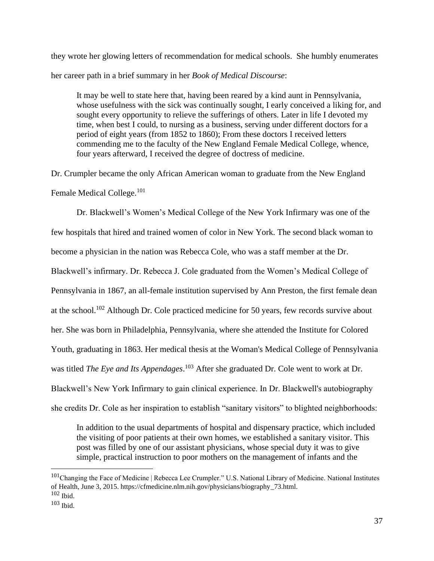they wrote her glowing letters of recommendation for medical schools. She humbly enumerates her career path in a brief summary in her *Book of Medical Discourse*:

It may be well to state here that, having been reared by a kind aunt in Pennsylvania, whose usefulness with the sick was continually sought, I early conceived a liking for, and sought every opportunity to relieve the sufferings of others. Later in life I devoted my time, when best I could, to nursing as a business, serving under different doctors for a period of eight years (from 1852 to 1860); From these doctors I received letters commending me to the faculty of the New England Female Medical College, whence, four years afterward, I received the degree of doctress of medicine.

Dr. Crumpler became the only African American woman to graduate from the New England Female Medical College.<sup>101</sup>

Dr. Blackwell's Women's Medical College of the New York Infirmary was one of the few hospitals that hired and trained women of color in New York. The second black woman to become a physician in the nation was Rebecca Cole, who was a staff member at the Dr. Blackwell's infirmary. Dr. Rebecca J. Cole graduated from the Women's Medical College of Pennsylvania in 1867, an all-female institution supervised by Ann Preston, the first female dean at the school.<sup>102</sup> Although Dr. Cole practiced medicine for 50 years, few records survive about her. She was born in Philadelphia, Pennsylvania, where she attended the Institute for Colored Youth, graduating in 1863. Her medical thesis at the Woman's Medical College of Pennsylvania was titled *The Eye and Its Appendages*. <sup>103</sup> After she graduated Dr. Cole went to work at Dr. Blackwell's New York Infirmary to gain clinical experience. In Dr. Blackwell's autobiography she credits Dr. Cole as her inspiration to establish "sanitary visitors" to blighted neighborhoods:

In addition to the usual departments of hospital and dispensary practice, which included the visiting of poor patients at their own homes, we established a sanitary visitor. This post was filled by one of our assistant physicians, whose special duty it was to give simple, practical instruction to poor mothers on the management of infants and the

<sup>&</sup>lt;sup>101</sup>Changing the Face of Medicine | Rebecca Lee Crumpler." U.S. National Library of Medicine. National Institutes of Health, June 3, 2015. https://cfmedicine.nlm.nih.gov/physicians/biography\_73.html.  $102$  Ibid.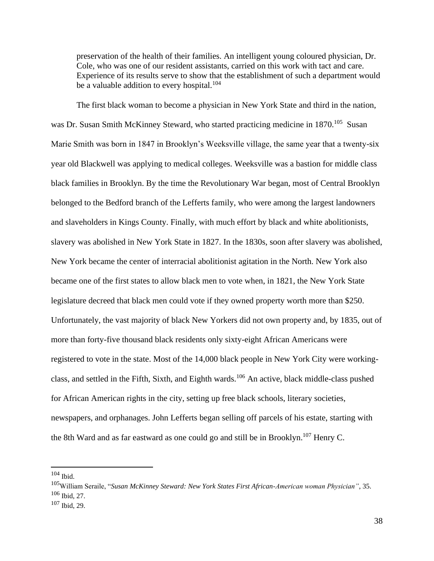preservation of the health of their families. An intelligent young coloured physician, Dr. Cole, who was one of our resident assistants, carried on this work with tact and care. Experience of its results serve to show that the establishment of such a department would be a valuable addition to every hospital.<sup>104</sup>

The first black woman to become a physician in New York State and third in the nation, was Dr. Susan Smith McKinney Steward, who started practicing medicine in 1870.<sup>105</sup> Susan Marie Smith was born in 1847 in Brooklyn's Weeksville village, the same year that a twenty-six year old Blackwell was applying to medical colleges. Weeksville was a bastion for middle class black families in Brooklyn. By the time the Revolutionary War began, most of Central Brooklyn belonged to the Bedford branch of the Lefferts family, who were among the largest landowners and slaveholders in Kings County. Finally, with much effort by black and white abolitionists, slavery was abolished in New York State in 1827. In the 1830s, soon after slavery was abolished, New York became the center of interracial abolitionist agitation in the North. New York also became one of the first states to allow black men to vote when, in 1821, the New York State legislature decreed that black men could vote if they owned property worth more than \$250. Unfortunately, the vast majority of black New Yorkers did not own property and, by 1835, out of more than forty-five thousand black residents only sixty-eight African Americans were registered to vote in the state. Most of the 14,000 black people in New York City were workingclass, and settled in the Fifth, Sixth, and Eighth wards.<sup>106</sup> An active, black middle-class pushed for African American rights in the city, setting up free black schools, literary societies, newspapers, and orphanages. John Lefferts began selling off parcels of his estate, starting with the 8th Ward and as far eastward as one could go and still be in Brooklyn.<sup>107</sup> Henry C.

<sup>104</sup> Ibid.

<sup>105</sup>William Seraile, "*Susan McKinney Steward: New York States First African-American woman Physician"*, 35. <sup>106</sup> Ibid, 27.

<sup>107</sup> Ibid, 29.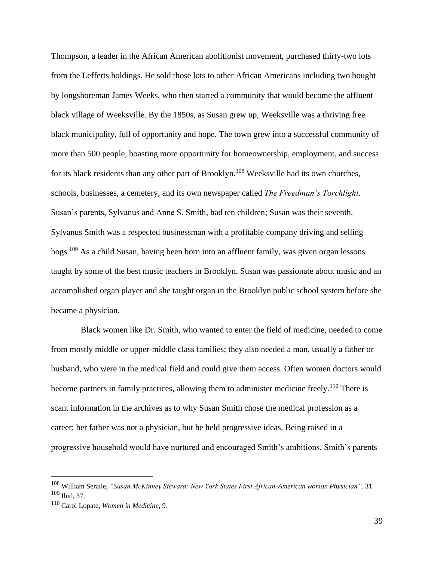Thompson, a leader in the African American abolitionist movement, purchased thirty-two lots from the Lefferts holdings. He sold those lots to other African Americans including two bought by longshoreman James Weeks, who then started a community that would become the affluent black village of Weeksville. By the 1850s, as Susan grew up, Weeksville was a thriving free black municipality, full of opportunity and hope. The town grew into a successful community of more than 500 people, boasting more opportunity for homeownership, employment, and success for its black residents than any other part of Brooklyn.<sup>108</sup> Weeksville had its own churches, schools, businesses, a cemetery, and its own newspaper called *The Freedman's Torchlight*. Susan's parents, Sylvanus and Anne S. Smith, had ten children; Susan was their seventh. Sylvanus Smith was a respected businessman with a profitable company driving and selling hogs.<sup>109</sup> As a child Susan, having been born into an affluent family, was given organ lessons taught by some of the best music teachers in Brooklyn. Susan was passionate about music and an accomplished organ player and she taught organ in the Brooklyn public school system before she became a physician.

 Black women like Dr. Smith, who wanted to enter the field of medicine, needed to come from mostly middle or upper-middle class families; they also needed a man, usually a father or husband, who were in the medical field and could give them access. Often women doctors would become partners in family practices, allowing them to administer medicine freely.<sup>110</sup> There is scant information in the archives as to why Susan Smith chose the medical profession as a career; her father was not a physician, but he held progressive ideas. Being raised in a progressive household would have nurtured and encouraged Smith's ambitions. Smith's parents

<sup>108</sup> William Seraile, *"Susan McKinney Steward: New York States First African-American woman Physician",* 31. <sup>109</sup> Ibid, 37.

<sup>110</sup> Carol Lopate, *Women in Medicine*, 9.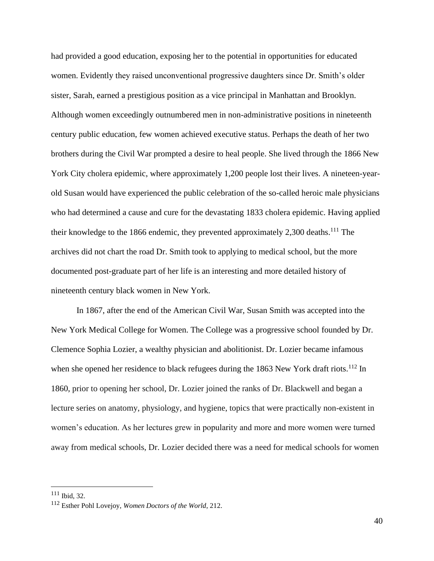had provided a good education, exposing her to the potential in opportunities for educated women. Evidently they raised unconventional progressive daughters since Dr. Smith's older sister, Sarah, earned a prestigious position as a vice principal in Manhattan and Brooklyn. Although women exceedingly outnumbered men in non-administrative positions in nineteenth century public education, few women achieved executive status. Perhaps the death of her two brothers during the Civil War prompted a desire to heal people. She lived through the 1866 New York City cholera epidemic, where approximately 1,200 people lost their lives. A nineteen-yearold Susan would have experienced the public celebration of the so-called heroic male physicians who had determined a cause and cure for the devastating 1833 cholera epidemic. Having applied their knowledge to the 1866 endemic, they prevented approximately 2,300 deaths.<sup>111</sup> The archives did not chart the road Dr. Smith took to applying to medical school, but the more documented post-graduate part of her life is an interesting and more detailed history of nineteenth century black women in New York.

In 1867, after the end of the American Civil War, Susan Smith was accepted into the New York Medical College for Women. The College was a progressive school founded by Dr. Clemence Sophia Lozier, a wealthy physician and abolitionist. Dr. Lozier became infamous when she opened her residence to black refugees during the 1863 New York draft riots.<sup>112</sup> In 1860, prior to opening her school, Dr. Lozier joined the ranks of Dr. Blackwell and began a lecture series on anatomy, physiology, and hygiene, topics that were practically non-existent in women's education. As her lectures grew in popularity and more and more women were turned away from medical schools, Dr. Lozier decided there was a need for medical schools for women

<sup>111</sup> Ibid, 32.

<sup>112</sup> Esther Pohl Lovejoy, *Women Doctors of the World*, 212.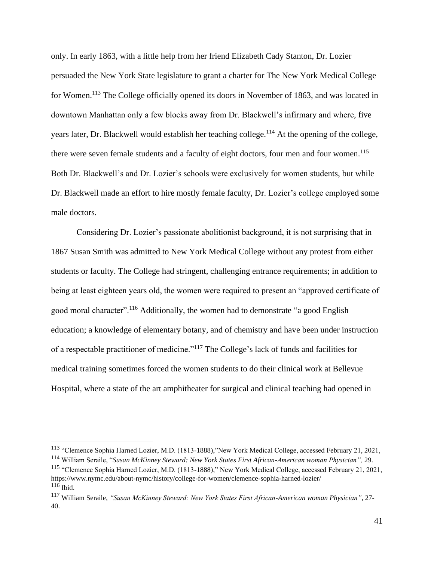only. In early 1863, with a little help from her friend Elizabeth Cady Stanton, Dr. Lozier persuaded the New York State legislature to grant a charter for The New York Medical College for Women.<sup>113</sup> The College officially opened its doors in November of 1863, and was located in downtown Manhattan only a few blocks away from Dr. Blackwell's infirmary and where, five years later, Dr. Blackwell would establish her teaching college.<sup>114</sup> At the opening of the college, there were seven female students and a faculty of eight doctors, four men and four women.<sup>115</sup> Both Dr. Blackwell's and Dr. Lozier's schools were exclusively for women students, but while Dr. Blackwell made an effort to hire mostly female faculty, Dr. Lozier's college employed some male doctors.

Considering Dr. Lozier's passionate abolitionist background, it is not surprising that in 1867 Susan Smith was admitted to New York Medical College without any protest from either students or faculty. The College had stringent, challenging entrance requirements; in addition to being at least eighteen years old, the women were required to present an "approved certificate of good moral character".<sup>116</sup> Additionally, the women had to demonstrate "a good English education; a knowledge of elementary botany, and of chemistry and have been under instruction of a respectable practitioner of medicine."<sup>117</sup> The College's lack of funds and facilities for medical training sometimes forced the women students to do their clinical work at Bellevue Hospital, where a state of the art amphitheater for surgical and clinical teaching had opened in

<sup>113</sup> "Clemence Sophia Harned Lozier, M.D. (1813-1888),"New York Medical College, accessed February 21, 2021,

<sup>114</sup> William Seraile, "*Susan McKinney Steward: New York States First African-American woman Physician",* 29. <sup>115</sup> "Clemence Sophia Harned Lozier, M.D. (1813-1888)," New York Medical College, accessed February 21, 2021, https://www.nymc.edu/about-nymc/history/college-for-women/clemence-sophia-harned-lozier/  $116$  Ibid.

<sup>117</sup> William Seraile, *"Susan McKinney Steward: New York States First African-American woman Physician"*, 27- 40.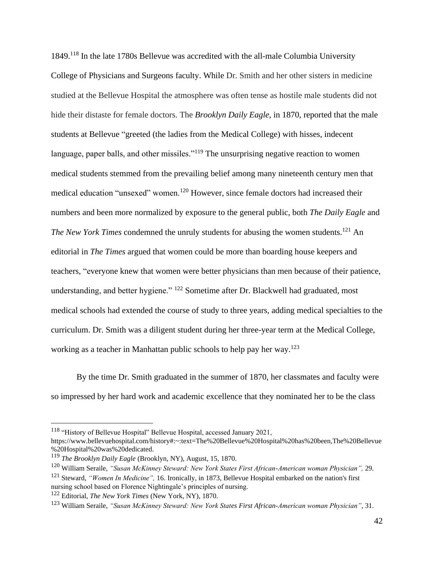1849.<sup>118</sup> In the late 1780s Bellevue was accredited with the all-male Columbia University College of Physicians and Surgeons faculty. While Dr. Smith and her other sisters in medicine studied at the Bellevue Hospital the atmosphere was often tense as hostile male students did not hide their distaste for female doctors. The *Brooklyn Daily Eagle*, in 1870, reported that the male students at Bellevue "greeted (the ladies from the Medical College) with hisses, indecent language, paper balls, and other missiles."<sup>119</sup> The unsurprising negative reaction to women medical students stemmed from the prevailing belief among many nineteenth century men that medical education "unsexed" women.<sup>120</sup> However, since female doctors had increased their numbers and been more normalized by exposure to the general public, both *The Daily Eagle* and *The New York Times* condemned the unruly students for abusing the women students.<sup>121</sup> An editorial in *The Times* argued that women could be more than boarding house keepers and teachers, "everyone knew that women were better physicians than men because of their patience, understanding, and better hygiene." <sup>122</sup> Sometime after Dr. Blackwell had graduated, most medical schools had extended the course of study to three years, adding medical specialties to the curriculum. Dr. Smith was a diligent student during her three-year term at the Medical College, working as a teacher in Manhattan public schools to help pay her way.<sup>123</sup>

By the time Dr. Smith graduated in the summer of 1870, her classmates and faculty were so impressed by her hard work and academic excellence that they nominated her to be the class

<sup>&</sup>lt;sup>118</sup> "History of Bellevue Hospital" Bellevue Hospital, accessed January 2021,

https://www.bellevuehospital.com/history#:~:text=The%20Bellevue%20Hospital%20has%20been,The%20Bellevue %20Hospital%20was%20dedicated.

<sup>119</sup> *The Brooklyn Daily Eagle* (Brooklyn, NY), August, 15, 1870.

<sup>120</sup> William Seraile, *"Susan McKinney Steward: New York States First African-American woman Physician",* 29. <sup>121</sup> Steward, *"Women In Medicine",* 16. Ironically, in 1873, Bellevue Hospital embarked on the nation's first nursing school based on Florence Nightingale's principles of nursing.

<sup>122</sup> Editorial, *The New York Times* (New York, NY), 1870.

<sup>123</sup> William Seraile, *"Susan McKinney Steward: New York States First African-American woman Physician"*, 31.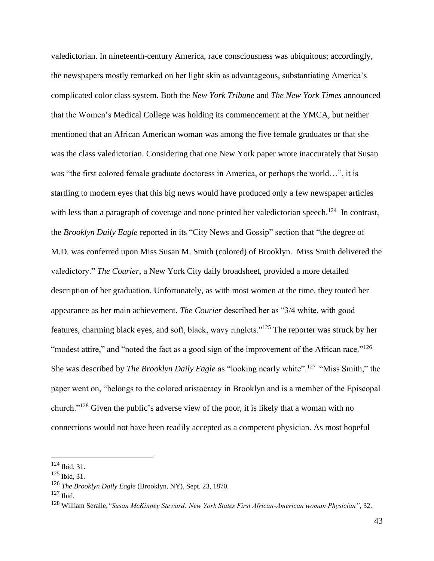valedictorian. In nineteenth-century America, race consciousness was ubiquitous; accordingly, the newspapers mostly remarked on her light skin as advantageous, substantiating America's complicated color class system. Both the *New York Tribune* and *The New York Times* announced that the Women's Medical College was holding its commencement at the YMCA, but neither mentioned that an African American woman was among the five female graduates or that she was the class valedictorian. Considering that one New York paper wrote inaccurately that Susan was "the first colored female graduate doctoress in America, or perhaps the world…", it is startling to modern eyes that this big news would have produced only a few newspaper articles with less than a paragraph of coverage and none printed her valedictorian speech.<sup>124</sup> In contrast, the *Brooklyn Daily Eagle* reported in its "City News and Gossip" section that "the degree of M.D. was conferred upon Miss Susan M. Smith (colored) of Brooklyn. Miss Smith delivered the valedictory." *The Courier*, a New York City daily broadsheet, provided a more detailed description of her graduation. Unfortunately, as with most women at the time, they touted her appearance as her main achievement. *The Courier* described her as "3/4 white, with good features, charming black eyes, and soft, black, wavy ringlets."<sup>125</sup> The reporter was struck by her "modest attire," and "noted the fact as a good sign of the improvement of the African race."<sup>126</sup> She was described by *The Brooklyn Daily Eagle* as "looking nearly white".<sup>127</sup> "Miss Smith," the paper went on, "belongs to the colored aristocracy in Brooklyn and is a member of the Episcopal church."<sup>128</sup> Given the public's adverse view of the poor, it is likely that a woman with no connections would not have been readily accepted as a competent physician. As most hopeful

<sup>124</sup> Ibid, 31.

 $125$  Ibid, 31.

<sup>126</sup> *The Brooklyn Daily Eagle* (Brooklyn, NY), Sept. 23, 1870.

 $127$  Ibid.

<sup>128</sup> William Seraile,*"Susan McKinney Steward: New York States First African-American woman Physician"*, 32.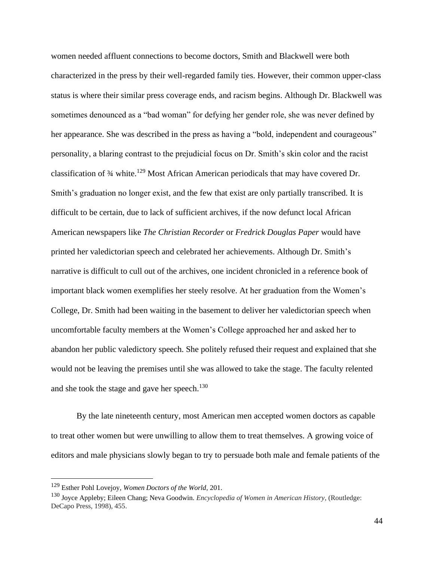women needed affluent connections to become doctors, Smith and Blackwell were both characterized in the press by their well-regarded family ties. However, their common upper-class status is where their similar press coverage ends, and racism begins. Although Dr. Blackwell was sometimes denounced as a "bad woman" for defying her gender role, she was never defined by her appearance. She was described in the press as having a "bold, independent and courageous" personality, a blaring contrast to the prejudicial focus on Dr. Smith's skin color and the racist classification of ¾ white. <sup>129</sup> Most African American periodicals that may have covered Dr. Smith's graduation no longer exist, and the few that exist are only partially transcribed. It is difficult to be certain, due to lack of sufficient archives, if the now defunct local African American newspapers like *The Christian Recorder* or *Fredrick Douglas Paper* would have printed her valedictorian speech and celebrated her achievements. Although Dr. Smith's narrative is difficult to cull out of the archives, one incident chronicled in a reference book of important black women exemplifies her steely resolve. At her graduation from the Women's College, Dr. Smith had been waiting in the basement to deliver her valedictorian speech when uncomfortable faculty members at the Women's College approached her and asked her to abandon her public valedictory speech. She politely refused their request and explained that she would not be leaving the premises until she was allowed to take the stage. The faculty relented and she took the stage and gave her speech.<sup>130</sup>

By the late nineteenth century, most American men accepted women doctors as capable to treat other women but were unwilling to allow them to treat themselves. A growing voice of editors and male physicians slowly began to try to persuade both male and female patients of the

<sup>129</sup> Esther Pohl Lovejoy, *Women Doctors of the World,* 201.

<sup>130</sup> Joyce Appleby; Eileen Chang; Neva Goodwin. *Encyclopedia of Women in American History*, (Routledge: DeCapo Press, 1998), 455.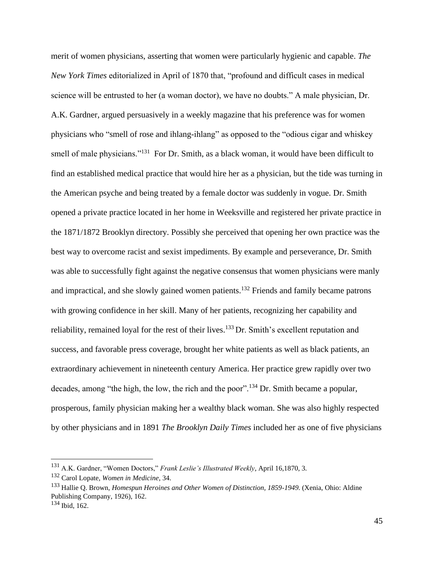merit of women physicians, asserting that women were particularly hygienic and capable. *The New York Times* editorialized in April of 1870 that, "profound and difficult cases in medical science will be entrusted to her (a woman doctor), we have no doubts." A male physician, Dr. A.K. Gardner, argued persuasively in a weekly magazine that his preference was for women physicians who "smell of rose and ihlang-ihlang" as opposed to the "odious cigar and whiskey smell of male physicians."<sup>131</sup> For Dr. Smith, as a black woman, it would have been difficult to find an established medical practice that would hire her as a physician, but the tide was turning in the American psyche and being treated by a female doctor was suddenly in vogue. Dr. Smith opened a private practice located in her home in Weeksville and registered her private practice in the 1871/1872 Brooklyn directory. Possibly she perceived that opening her own practice was the best way to overcome racist and sexist impediments. By example and perseverance, Dr. Smith was able to successfully fight against the negative consensus that women physicians were manly and impractical, and she slowly gained women patients.<sup>132</sup> Friends and family became patrons with growing confidence in her skill. Many of her patients, recognizing her capability and reliability, remained loyal for the rest of their lives.<sup>133</sup> Dr. Smith's excellent reputation and success, and favorable press coverage, brought her white patients as well as black patients, an extraordinary achievement in nineteenth century America. Her practice grew rapidly over two decades, among "the high, the low, the rich and the poor".<sup>134</sup> Dr. Smith became a popular, prosperous, family physician making her a wealthy black woman. She was also highly respected by other physicians and in 1891 *The Brooklyn Daily Times* included her as one of five physicians

<sup>131</sup> A.K. Gardner, "Women Doctors," *Frank Leslie's Illustrated Weekly*, April 16,1870, 3.

<sup>132</sup> Carol Lopate, *Women in Medicine*, 34.

<sup>133</sup> Hallie Q. Brown, *Homespun Heroines and Other Women of Distinction, 1859-1949.* (Xenia, Ohio: Aldine Publishing Company, 1926), 162.

<sup>134</sup> Ibid, 162.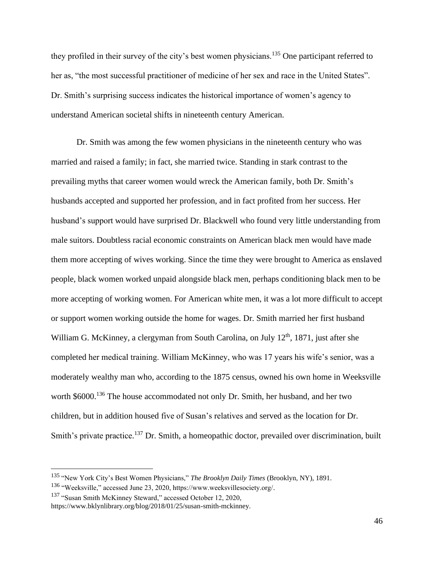they profiled in their survey of the city's best women physicians.<sup>135</sup> One participant referred to her as, "the most successful practitioner of medicine of her sex and race in the United States". Dr. Smith's surprising success indicates the historical importance of women's agency to understand American societal shifts in nineteenth century American.

Dr. Smith was among the few women physicians in the nineteenth century who was married and raised a family; in fact, she married twice. Standing in stark contrast to the prevailing myths that career women would wreck the American family, both Dr. Smith's husbands accepted and supported her profession, and in fact profited from her success. Her husband's support would have surprised Dr. Blackwell who found very little understanding from male suitors. Doubtless racial economic constraints on American black men would have made them more accepting of wives working. Since the time they were brought to America as enslaved people, black women worked unpaid alongside black men, perhaps conditioning black men to be more accepting of working women. For American white men, it was a lot more difficult to accept or support women working outside the home for wages. Dr. Smith married her first husband William G. McKinney, a clergyman from South Carolina, on July  $12<sup>th</sup>$ , 1871, just after she completed her medical training. William McKinney, who was 17 years his wife's senior, was a moderately wealthy man who, according to the 1875 census, owned his own home in Weeksville worth \$6000.<sup>136</sup> The house accommodated not only Dr. Smith, her husband, and her two children, but in addition housed five of Susan's relatives and served as the location for Dr. Smith's private practice.<sup>137</sup> Dr. Smith, a homeopathic doctor, prevailed over discrimination, built

<sup>137</sup> "Susan Smith McKinney Steward," accessed October 12, 2020,

<sup>135</sup> "New York City's Best Women Physicians," *The Brooklyn Daily Times* (Brooklyn, NY), 1891.

<sup>136</sup> "Weeksville," accessed June 23, 2020, https://www.weeksvillesociety.org/.

https://www.bklynlibrary.org/blog/2018/01/25/susan-smith-mckinney.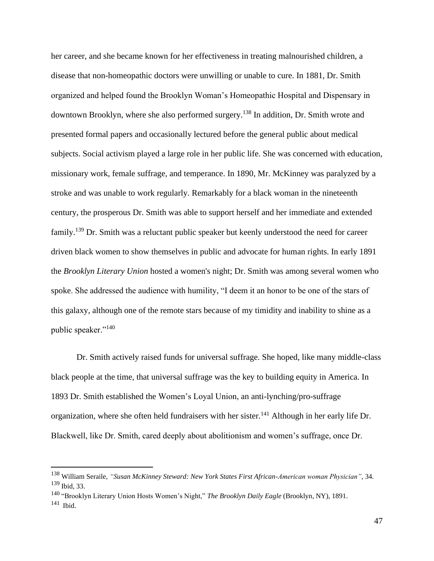her career, and she became known for her effectiveness in treating malnourished children, a disease that non-homeopathic doctors were unwilling or unable to cure. In 1881, Dr. Smith organized and helped found the Brooklyn Woman's Homeopathic Hospital and Dispensary in downtown Brooklyn, where she also performed surgery.<sup>138</sup> In addition, Dr. Smith wrote and presented formal papers and occasionally lectured before the general public about medical subjects. Social activism played a large role in her public life. She was concerned with education, missionary work, female suffrage, and temperance. In 1890, Mr. McKinney was paralyzed by a stroke and was unable to work regularly. Remarkably for a black woman in the nineteenth century, the prosperous Dr. Smith was able to support herself and her immediate and extended family.<sup>139</sup> Dr. Smith was a reluctant public speaker but keenly understood the need for career driven black women to show themselves in public and advocate for human rights. In early 1891 the *Brooklyn Literary Union* hosted a women's night; Dr. Smith was among several women who spoke. She addressed the audience with humility, "I deem it an honor to be one of the stars of this galaxy, although one of the remote stars because of my timidity and inability to shine as a public speaker."<sup>140</sup>

Dr. Smith actively raised funds for universal suffrage. She hoped, like many middle-class black people at the time, that universal suffrage was the key to building equity in America. In 1893 Dr. Smith established the Women's Loyal Union, an anti-lynching/pro-suffrage organization, where she often held fundraisers with her sister.<sup>141</sup> Although in her early life Dr. Blackwell, like Dr. Smith, cared deeply about abolitionism and women's suffrage, once Dr.

<sup>138</sup> William Seraile, *"Susan McKinney Steward: New York States First African-American woman Physician"*, 34. <sup>139</sup> Ibid, 33.

<sup>140</sup> "Brooklyn Literary Union Hosts Women's Night," *The Brooklyn Daily Eagle* (Brooklyn, NY), 1891. 141 Ibid.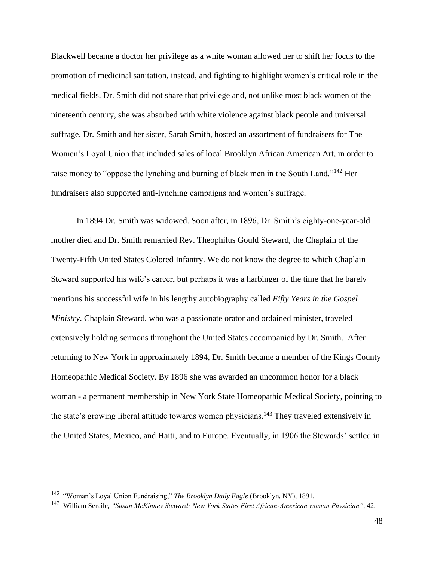Blackwell became a doctor her privilege as a white woman allowed her to shift her focus to the promotion of medicinal sanitation, instead, and fighting to highlight women's critical role in the medical fields. Dr. Smith did not share that privilege and, not unlike most black women of the nineteenth century, she was absorbed with white violence against black people and universal suffrage. Dr. Smith and her sister, Sarah Smith, hosted an assortment of fundraisers for The Women's Loyal Union that included sales of local Brooklyn African American Art, in order to raise money to "oppose the lynching and burning of black men in the South Land."<sup>142</sup> Her fundraisers also supported anti-lynching campaigns and women's suffrage.

In 1894 Dr. Smith was widowed. Soon after, in 1896, Dr. Smith's eighty-one-year-old mother died and Dr. Smith remarried Rev. Theophilus Gould Steward, the Chaplain of the Twenty-Fifth United States Colored Infantry. We do not know the degree to which Chaplain Steward supported his wife's career, but perhaps it was a harbinger of the time that he barely mentions his successful wife in his lengthy autobiography called *Fifty Years in the Gospel Ministry*. Chaplain Steward, who was a passionate orator and ordained minister, traveled extensively holding sermons throughout the United States accompanied by Dr. Smith. After returning to New York in approximately 1894, Dr. Smith became a member of the Kings County Homeopathic Medical Society. By 1896 she was awarded an uncommon honor for a black woman - a permanent membership in New York State Homeopathic Medical Society, pointing to the state's growing liberal attitude towards women physicians.<sup>143</sup> They traveled extensively in the United States, Mexico, and Haiti, and to Europe. Eventually, in 1906 the Stewards' settled in

<sup>142</sup> "Woman's Loyal Union Fundraising," *The Brooklyn Daily Eagle* (Brooklyn, NY), 1891.

<sup>143</sup> William Seraile, *"Susan McKinney Steward: New York States First African-American woman Physician"*, 42.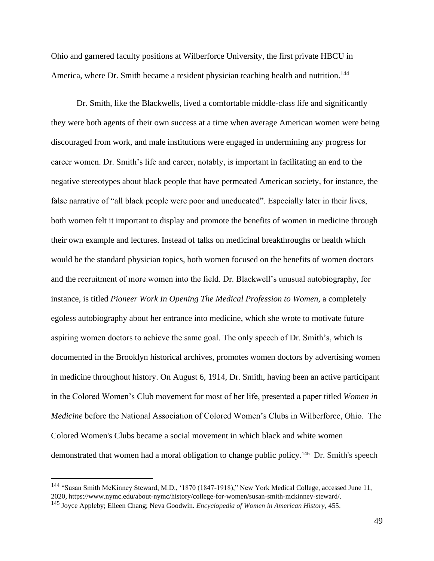Ohio and garnered faculty positions at Wilberforce University, the first private HBCU in America, where Dr. Smith became a resident physician teaching health and nutrition.<sup>144</sup>

Dr. Smith, like the Blackwells, lived a comfortable middle-class life and significantly they were both agents of their own success at a time when average American women were being discouraged from work, and male institutions were engaged in undermining any progress for career women. Dr. Smith's life and career, notably, is important in facilitating an end to the negative stereotypes about black people that have permeated American society, for instance, the false narrative of "all black people were poor and uneducated". Especially later in their lives, both women felt it important to display and promote the benefits of women in medicine through their own example and lectures. Instead of talks on medicinal breakthroughs or health which would be the standard physician topics, both women focused on the benefits of women doctors and the recruitment of more women into the field. Dr. Blackwell's unusual autobiography, for instance, is titled *Pioneer Work In Opening The Medical Profession to Women,* a completely egoless autobiography about her entrance into medicine, which she wrote to motivate future aspiring women doctors to achieve the same goal. The only speech of Dr. Smith's, which is documented in the Brooklyn historical archives, promotes women doctors by advertising women in medicine throughout history. On August 6, 1914, Dr. Smith, having been an active participant in the Colored Women's Club movement for most of her life, presented a paper titled *Women in Medicine* before the National Association of Colored Women's Clubs in Wilberforce, Ohio. The Colored Women's Clubs became a social movement in which black and white women demonstrated that women had a moral obligation to change public policy. 145 Dr. Smith's speech

<sup>144</sup> "Susan Smith McKinney Steward, M.D., '1870 (1847-1918)," New York Medical College, accessed June 11, 2020, https://www.nymc.edu/about-nymc/history/college-for-women/susan-smith-mckinney-steward/.

<sup>145</sup> Joyce Appleby; Eileen Chang; Neva Goodwin. *Encyclopedia of Women in American History*, 455.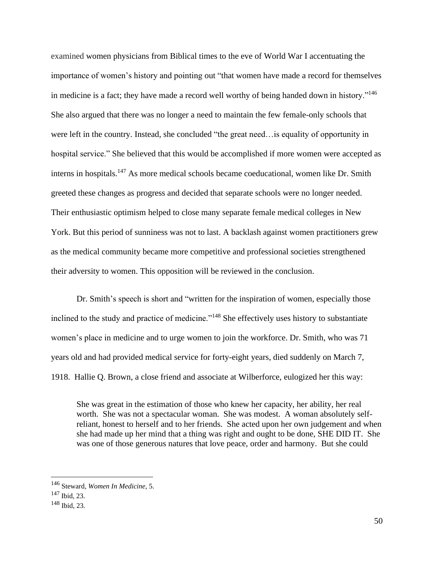examined women physicians from Biblical times to the eve of World War I accentuating the importance of women's history and pointing out "that women have made a record for themselves in medicine is a fact; they have made a record well worthy of being handed down in history."<sup>146</sup> She also argued that there was no longer a need to maintain the few female-only schools that were left in the country. Instead, she concluded "the great need…is equality of opportunity in hospital service." She believed that this would be accomplished if more women were accepted as interns in hospitals.<sup>147</sup> As more medical schools became coeducational, women like Dr. Smith greeted these changes as progress and decided that separate schools were no longer needed. Their enthusiastic optimism helped to close many separate female medical colleges in New York. But this period of sunniness was not to last. A backlash against women practitioners grew as the medical community became more competitive and professional societies strengthened their adversity to women. This opposition will be reviewed in the conclusion.

Dr. Smith's speech is short and "written for the inspiration of women, especially those inclined to the study and practice of medicine."<sup>148</sup> She effectively uses history to substantiate women's place in medicine and to urge women to join the workforce. Dr. Smith, who was 71 years old and had provided medical service for forty-eight years, died suddenly on March 7, 1918. Hallie Q. Brown, a close friend and associate at Wilberforce, eulogized her this way:

She was great in the estimation of those who knew her capacity, her ability, her real worth. She was not a spectacular woman. She was modest. A woman absolutely selfreliant, honest to herself and to her friends. She acted upon her own judgement and when she had made up her mind that a thing was right and ought to be done, SHE DID IT. She was one of those generous natures that love peace, order and harmony. But she could

<sup>146</sup> Steward, *Women In Medicine*, 5.

<sup>147</sup> Ibid, 23.

<sup>148</sup> Ibid, 23.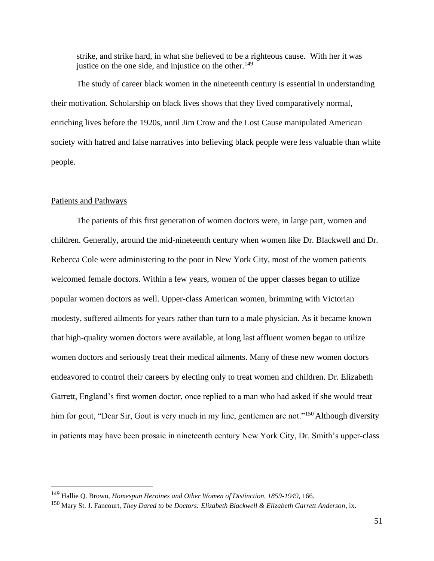strike, and strike hard, in what she believed to be a righteous cause. With her it was justice on the one side, and injustice on the other. $149$ 

The study of career black women in the nineteenth century is essential in understanding their motivation. Scholarship on black lives shows that they lived comparatively normal, enriching lives before the 1920s, until Jim Crow and the Lost Cause manipulated American society with hatred and false narratives into believing black people were less valuable than white people.

#### Patients and Pathways

The patients of this first generation of women doctors were, in large part, women and children. Generally, around the mid-nineteenth century when women like Dr. Blackwell and Dr. Rebecca Cole were administering to the poor in New York City, most of the women patients welcomed female doctors. Within a few years, women of the upper classes began to utilize popular women doctors as well. Upper-class American women, brimming with Victorian modesty, suffered ailments for years rather than turn to a male physician. As it became known that high-quality women doctors were available, at long last affluent women began to utilize women doctors and seriously treat their medical ailments. Many of these new women doctors endeavored to control their careers by electing only to treat women and children. Dr. Elizabeth Garrett, England's first women doctor, once replied to a man who had asked if she would treat him for gout, "Dear Sir, Gout is very much in my line, gentlemen are not."<sup>150</sup> Although diversity in patients may have been prosaic in nineteenth century New York City, Dr. Smith's upper-class

<sup>&</sup>lt;sup>149</sup> Hallie Q. Brown, *Homespun Heroines and Other Women of Distinction, 1859-1949, 166.* 

<sup>150</sup> Mary St. J. Fancourt, *They Dared to be Doctors: Elizabeth Blackwell & Elizabeth Garrett Anderson*, ix.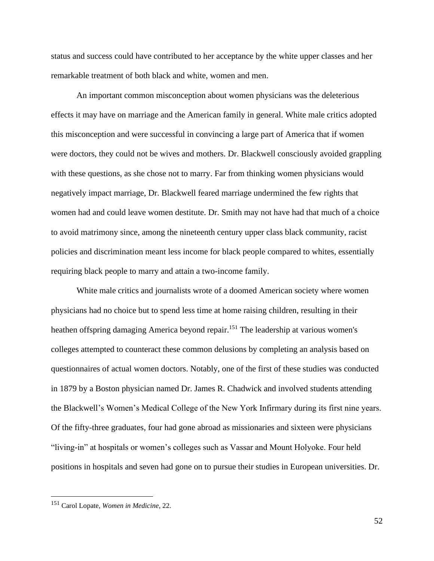status and success could have contributed to her acceptance by the white upper classes and her remarkable treatment of both black and white, women and men.

An important common misconception about women physicians was the deleterious effects it may have on marriage and the American family in general. White male critics adopted this misconception and were successful in convincing a large part of America that if women were doctors, they could not be wives and mothers. Dr. Blackwell consciously avoided grappling with these questions, as she chose not to marry. Far from thinking women physicians would negatively impact marriage, Dr. Blackwell feared marriage undermined the few rights that women had and could leave women destitute. Dr. Smith may not have had that much of a choice to avoid matrimony since, among the nineteenth century upper class black community, racist policies and discrimination meant less income for black people compared to whites, essentially requiring black people to marry and attain a two-income family.

White male critics and journalists wrote of a doomed American society where women physicians had no choice but to spend less time at home raising children, resulting in their heathen offspring damaging America beyond repair.<sup>151</sup> The leadership at various women's colleges attempted to counteract these common delusions by completing an analysis based on questionnaires of actual women doctors. Notably, one of the first of these studies was conducted in 1879 by a Boston physician named Dr. James R. Chadwick and involved students attending the Blackwell's Women's Medical College of the New York Infirmary during its first nine years. Of the fifty-three graduates, four had gone abroad as missionaries and sixteen were physicians "living-in" at hospitals or women's colleges such as Vassar and Mount Holyoke. Four held positions in hospitals and seven had gone on to pursue their studies in European universities. Dr.

52

<sup>151</sup> Carol Lopate, *Women in Medicine*, 22.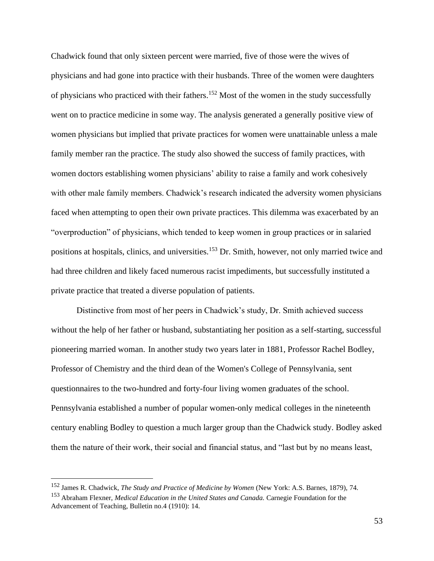Chadwick found that only sixteen percent were married, five of those were the wives of physicians and had gone into practice with their husbands. Three of the women were daughters of physicians who practiced with their fathers.<sup>152</sup> Most of the women in the study successfully went on to practice medicine in some way. The analysis generated a generally positive view of women physicians but implied that private practices for women were unattainable unless a male family member ran the practice. The study also showed the success of family practices, with women doctors establishing women physicians' ability to raise a family and work cohesively with other male family members. Chadwick's research indicated the adversity women physicians faced when attempting to open their own private practices. This dilemma was exacerbated by an "overproduction" of physicians, which tended to keep women in group practices or in salaried positions at hospitals, clinics, and universities.<sup>153</sup> Dr. Smith, however, not only married twice and had three children and likely faced numerous racist impediments, but successfully instituted a private practice that treated a diverse population of patients.

Distinctive from most of her peers in Chadwick's study, Dr. Smith achieved success without the help of her father or husband, substantiating her position as a self-starting, successful pioneering married woman. In another study two years later in 1881, Professor Rachel Bodley, Professor of Chemistry and the third dean of the Women's College of Pennsylvania, sent questionnaires to the two-hundred and forty-four living women graduates of the school. Pennsylvania established a number of popular women-only medical colleges in the nineteenth century enabling Bodley to question a much larger group than the Chadwick study. Bodley asked them the nature of their work, their social and financial status, and "last but by no means least,

<sup>152</sup> James R. Chadwick, *The Study and Practice of Medicine by Women* (New York: A.S. Barnes, 1879), 74.

<sup>153</sup> Abraham Flexner, *Medical Education in the United States and Canada.* Carnegie Foundation for the Advancement of Teaching, Bulletin no.4 (1910): 14.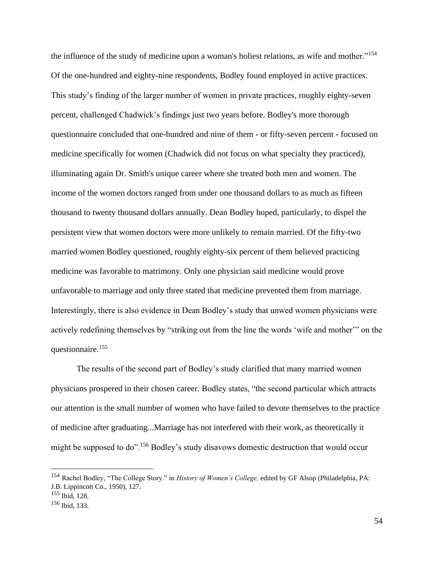the influence of the study of medicine upon a woman's holiest relations, as wife and mother."<sup>154</sup> Of the one-hundred and eighty-nine respondents, Bodley found employed in active practices. This study's finding of the larger number of women in private practices, roughly eighty-seven percent, challenged Chadwick's findings just two years before. Bodley's more thorough questionnaire concluded that one-hundred and nine of them - or fifty-seven percent - focused on medicine specifically for women (Chadwick did not focus on what specialty they practiced), illuminating again Dr. Smith's unique career where she treated both men and women. The income of the women doctors ranged from under one thousand dollars to as much as fifteen thousand to twenty thousand dollars annually. Dean Bodley hoped, particularly, to dispel the persistent view that women doctors were more unlikely to remain married. Of the fifty-two married women Bodley questioned, roughly eighty-six percent of them believed practicing medicine was favorable to matrimony. Only one physician said medicine would prove unfavorable to marriage and only three stated that medicine prevented them from marriage. Interestingly, there is also evidence in Dean Bodley's study that unwed women physicians were actively redefining themselves by "striking out from the line the words 'wife and mother'" on the questionnaire. 155

The results of the second part of Bodley's study clarified that many married women physicians prospered in their chosen career. Bodley states, "the second particular which attracts our attention is the small number of women who have failed to devote themselves to the practice of medicine after graduating...Marriage has not interfered with their work, as theoretically it might be supposed to do".<sup>156</sup> Bodley's study disavows domestic destruction that would occur

<sup>154</sup> Rachel Bodley, "The College Story." in *History of Women's College,* edited by GF Alsop (Philadelphia, PA: J.B. Lippincott Co., 1950), 127.

<sup>155</sup> Ibid, 128.

<sup>156</sup> Ibid, 133.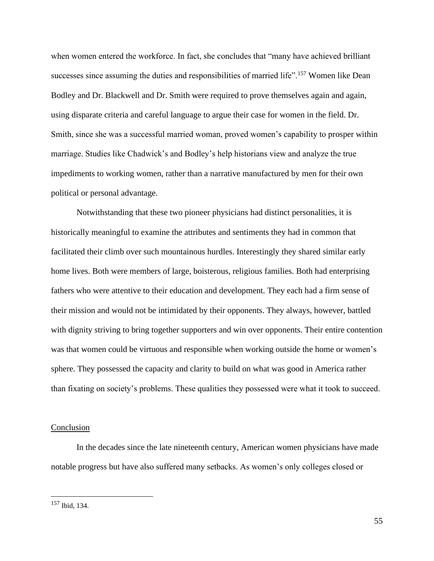when women entered the workforce. In fact, she concludes that "many have achieved brilliant successes since assuming the duties and responsibilities of married life".<sup>157</sup> Women like Dean Bodley and Dr. Blackwell and Dr. Smith were required to prove themselves again and again, using disparate criteria and careful language to argue their case for women in the field. Dr. Smith, since she was a successful married woman, proved women's capability to prosper within marriage. Studies like Chadwick's and Bodley's help historians view and analyze the true impediments to working women, rather than a narrative manufactured by men for their own political or personal advantage.

Notwithstanding that these two pioneer physicians had distinct personalities, it is historically meaningful to examine the attributes and sentiments they had in common that facilitated their climb over such mountainous hurdles. Interestingly they shared similar early home lives. Both were members of large, boisterous, religious families. Both had enterprising fathers who were attentive to their education and development. They each had a firm sense of their mission and would not be intimidated by their opponents. They always, however, battled with dignity striving to bring together supporters and win over opponents. Their entire contention was that women could be virtuous and responsible when working outside the home or women's sphere. They possessed the capacity and clarity to build on what was good in America rather than fixating on society's problems. These qualities they possessed were what it took to succeed.

#### Conclusion

In the decades since the late nineteenth century, American women physicians have made notable progress but have also suffered many setbacks. As women's only colleges closed or

<sup>157</sup> Ibid, 134.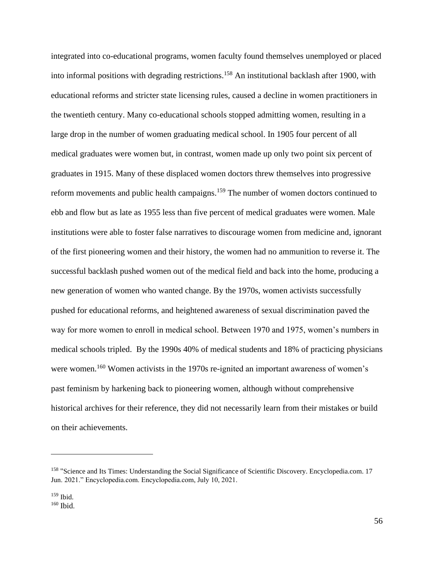integrated into co-educational programs, women faculty found themselves unemployed or placed into informal positions with degrading restrictions.<sup>158</sup> An institutional backlash after 1900, with educational reforms and stricter state licensing rules, caused a decline in women practitioners in the twentieth century. Many co-educational schools stopped admitting women, resulting in a large drop in the number of women graduating medical school. In 1905 four percent of all medical graduates were women but, in contrast, women made up only two point six percent of graduates in 1915. Many of these displaced women doctors threw themselves into progressive reform movements and public health campaigns.<sup>159</sup> The number of women doctors continued to ebb and flow but as late as 1955 less than five percent of medical graduates were women. Male institutions were able to foster false narratives to discourage women from medicine and, ignorant of the first pioneering women and their history, the women had no ammunition to reverse it. The successful backlash pushed women out of the medical field and back into the home, producing a new generation of women who wanted change. By the 1970s, women activists successfully pushed for educational reforms, and heightened awareness of sexual discrimination paved the way for more women to enroll in medical school. Between 1970 and 1975, women's numbers in medical schools tripled. By the 1990s 40% of medical students and 18% of practicing physicians were women.<sup>160</sup> Women activists in the 1970s re-ignited an important awareness of women's past feminism by harkening back to pioneering women, although without comprehensive historical archives for their reference, they did not necessarily learn from their mistakes or build on their achievements.

<sup>&</sup>lt;sup>158</sup> "Science and Its Times: Understanding the Social Significance of Scientific Discovery. Encyclopedia.com. 17 Jun. 2021." Encyclopedia.com. Encyclopedia.com, July 10, 2021.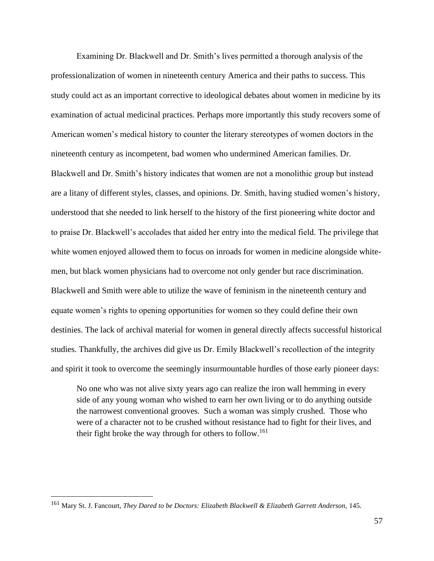Examining Dr. Blackwell and Dr. Smith's lives permitted a thorough analysis of the professionalization of women in nineteenth century America and their paths to success. This study could act as an important corrective to ideological debates about women in medicine by its examination of actual medicinal practices. Perhaps more importantly this study recovers some of American women's medical history to counter the literary stereotypes of women doctors in the nineteenth century as incompetent, bad women who undermined American families. Dr. Blackwell and Dr. Smith's history indicates that women are not a monolithic group but instead are a litany of different styles, classes, and opinions. Dr. Smith, having studied women's history, understood that she needed to link herself to the history of the first pioneering white doctor and to praise Dr. Blackwell's accolades that aided her entry into the medical field. The privilege that white women enjoyed allowed them to focus on inroads for women in medicine alongside whitemen, but black women physicians had to overcome not only gender but race discrimination. Blackwell and Smith were able to utilize the wave of feminism in the nineteenth century and equate women's rights to opening opportunities for women so they could define their own destinies. The lack of archival material for women in general directly affects successful historical studies. Thankfully, the archives did give us Dr. Emily Blackwell's recollection of the integrity and spirit it took to overcome the seemingly insurmountable hurdles of those early pioneer days:

No one who was not alive sixty years ago can realize the iron wall hemming in every side of any young woman who wished to earn her own living or to do anything outside the narrowest conventional grooves. Such a woman was simply crushed. Those who were of a character not to be crushed without resistance had to fight for their lives, and their fight broke the way through for others to follow.<sup>161</sup>

<sup>161</sup> Mary St. J. Fancourt, *They Dared to be Doctors: Elizabeth Blackwell & Elizabeth Garrett Anderson,* 145.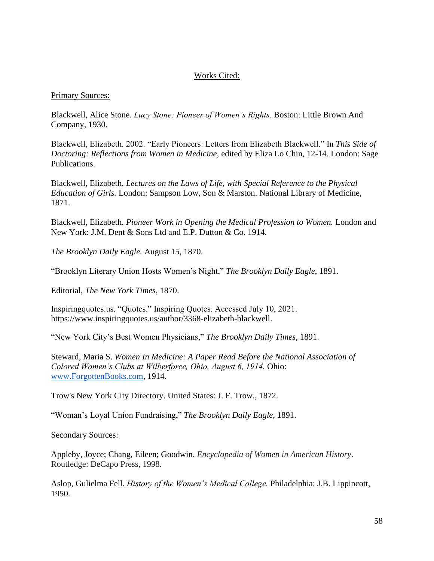## Works Cited:

#### Primary Sources:

Blackwell, Alice Stone. *Lucy Stone: Pioneer of Women's Rights.* Boston: Little Brown And Company, 1930.

Blackwell, Elizabeth. 2002. "Early Pioneers: Letters from Elizabeth Blackwell." In *This Side of Doctoring: Reflections from Women in Medicine,* edited by Eliza Lo Chin, 12-14. London: Sage Publications.

Blackwell, Elizabeth. *Lectures on the Laws of Life, with Special Reference to the Physical Education of Girls.* London: Sampson Low, Son & Marston. National Library of Medicine, 1871.

Blackwell, Elizabeth. *Pioneer Work in Opening the Medical Profession to Women.* London and New York: J.M. Dent & Sons Ltd and E.P. Dutton & Co. 1914.

*The Brooklyn Daily Eagle.* August 15, 1870.

"Brooklyn Literary Union Hosts Women's Night," *The Brooklyn Daily Eagle*, 1891.

Editorial, *The New York Times*, 1870.

Inspiringquotes.us. "Quotes." Inspiring Quotes. Accessed July 10, 2021. https://www.inspiringquotes.us/author/3368-elizabeth-blackwell.

"New York City's Best Women Physicians," *The Brooklyn Daily Times*, 1891.

Steward, Maria S. *Women In Medicine: A Paper Read Before the National Association of Colored Women's Clubs at Wilberforce, Ohio, August 6, 1914.* Ohio: [www.ForgottenBooks.com,](http://www.forgottenbooks.com/) 1914.

Trow's New York City Directory. United States: J. F. Trow., 1872.

"Woman's Loyal Union Fundraising," *The Brooklyn Daily Eagle*, 1891.

Secondary Sources:

Appleby, Joyce; Chang, Eileen; Goodwin. *Encyclopedia of Women in American History*. Routledge: DeCapo Press, 1998.

Aslop, Gulielma Fell. *History of the Women's Medical College.* Philadelphia: J.B. Lippincott, 1950.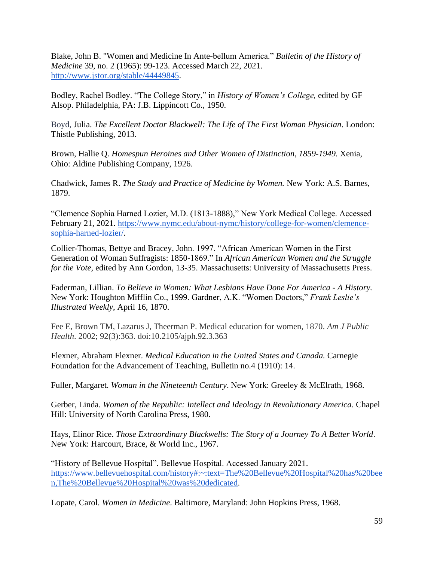Blake, John B. "Women and Medicine In Ante-bellum America." *Bulletin of the History of Medicine* 39, no. 2 (1965): 99-123. Accessed March 22, 2021. [http://www.jstor.org/stable/44449845.](http://www.jstor.org/stable/44449845)

Bodley, Rachel Bodley. "The College Story," in *History of Women's College,* edited by GF Alsop. Philadelphia, PA: J.B. Lippincott Co., 1950.

Boyd, Julia. *The Excellent Doctor Blackwell: The Life of The First Woman Physician*. London: Thistle Publishing, 2013.

Brown, Hallie Q. *Homespun Heroines and Other Women of Distinction, 1859-1949.* Xenia, Ohio: Aldine Publishing Company, 1926.

Chadwick, James R. *The Study and Practice of Medicine by Women.* New York: A.S. Barnes, 1879.

"Clemence Sophia Harned Lozier, M.D. (1813-1888)," New York Medical College. Accessed February 21, 2021. [https://www.nymc.edu/about-nymc/history/college-for-women/clemence](https://www.nymc.edu/about-nymc/history/college-for-women/clemence-sophia-harned-lozier/)[sophia-harned-lozier/.](https://www.nymc.edu/about-nymc/history/college-for-women/clemence-sophia-harned-lozier/)

Collier-Thomas, Bettye and Bracey, John. 1997. "African American Women in the First Generation of Woman Suffragists: 1850-1869." In *African American Women and the Struggle for the Vote,* edited by Ann Gordon, 13-35. Massachusetts: University of Massachusetts Press.

Faderman, Lillian. *To Believe in Women: What Lesbians Have Done For America - A History.*  New York: Houghton Mifflin Co., 1999. Gardner, A.K. "Women Doctors," *Frank Leslie's Illustrated Weekly*, April 16, 1870.

Fee E, Brown TM, Lazarus J, Theerman P. Medical education for women, 1870. *Am J Public Health*. 2002; 92(3):363. doi:10.2105/ajph.92.3.363

Flexner, Abraham Flexner. *Medical Education in the United States and Canada.* Carnegie Foundation for the Advancement of Teaching, Bulletin no.4 (1910): 14.

Fuller, Margaret. *Woman in the Nineteenth Century*. New York: Greeley & McElrath, 1968.

Gerber, Linda. *Women of the Republic: Intellect and Ideology in Revolutionary America.* Chapel Hill: University of North Carolina Press, 1980.

Hays, Elinor Rice. *Those Extraordinary Blackwells: The Story of a Journey To A Better World*. New York: Harcourt, Brace, & World Inc., 1967.

"History of Bellevue Hospital". Bellevue Hospital. Accessed January 2021. [https://www.bellevuehospital.com/history#:~:text=The%20Bellevue%20Hospital%20has%20bee](https://www.bellevuehospital.com/history#:~:text=The%20Bellevue%20Hospital%20has%20been,The%20Bellevue%20Hospital%20was%20dedicated) [n,The%20Bellevue%20Hospital%20was%20dedicated.](https://www.bellevuehospital.com/history#:~:text=The%20Bellevue%20Hospital%20has%20been,The%20Bellevue%20Hospital%20was%20dedicated)

Lopate, Carol. *Women in Medicine*. Baltimore, Maryland: John Hopkins Press, 1968.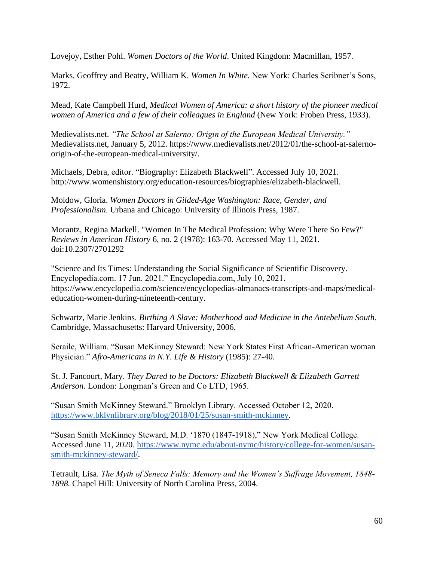Lovejoy, Esther Pohl. *Women Doctors of the World*. United Kingdom: Macmillan, 1957.

Marks, Geoffrey and Beatty, William K. *Women In White.* New York: Charles Scribner's Sons, 1972.

Mead, Kate Campbell Hurd, *Medical Women of America: a short history of the pioneer medical women of America and a few of their colleagues in England* (New York: Froben Press, 1933).

Medievalists.net. *"The School at Salerno: Origin of the European Medical University."*  Medievalists.net, January 5, 2012. https://www.medievalists.net/2012/01/the-school-at-salernoorigin-of-the-european-medical-university/.

Michaels, Debra, editor. "Biography: Elizabeth Blackwell". Accessed July 10, 2021. http://www.womenshistory.org/education-resources/biographies/elizabeth-blackwell.

Moldow, Gloria. *Women Doctors in Gilded-Age Washington: Race, Gender, and Professionalism*. Urbana and Chicago: University of Illinois Press, 1987.

Morantz, Regina Markell. "Women In The Medical Profession: Why Were There So Few?" *Reviews in American History* 6, no. 2 (1978): 163-70. Accessed May 11, 2021. doi:10.2307/2701292

"Science and Its Times: Understanding the Social Significance of Scientific Discovery. Encyclopedia.com. 17 Jun. 2021." Encyclopedia.com, July 10, 2021. https://www.encyclopedia.com/science/encyclopedias-almanacs-transcripts-and-maps/medicaleducation-women-during-nineteenth-century.

Schwartz, Marie Jenkins. *Birthing A Slave: Motherhood and Medicine in the Antebellum South.* Cambridge, Massachusetts: Harvard University, 2006.

Seraile, William. "Susan McKinney Steward: New York States First African-American woman Physician." *Afro-Americans in N.Y. Life & History* (1985): 27-40.

St. J. Fancourt, Mary. *They Dared to be Doctors: Elizabeth Blackwell & Elizabeth Garrett Anderson.* London: Longman's Green and Co LTD, 1965.

"Susan Smith McKinney Steward." Brooklyn Library. Accessed October 12, 2020. [https://www.bklynlibrary.org/blog/2018/01/25/susan-smith-mckinney.](https://www.bklynlibrary.org/blog/2018/01/25/susan-smith-mckinney)

"Susan Smith McKinney Steward, M.D. '1870 (1847-1918)," New York Medical College. Accessed June 11, 2020. [https://www.nymc.edu/about-nymc/history/college-for-women/susan](https://www.nymc.edu/about-nymc/history/college-for-women/susan-smith-mckinney-steward/)[smith-mckinney-steward/.](https://www.nymc.edu/about-nymc/history/college-for-women/susan-smith-mckinney-steward/)

Tetrault, Lisa. *The Myth of Seneca Falls: Memory and the Women's Suffrage Movement, 1848- 1898.* Chapel Hill: University of North Carolina Press, 2004.